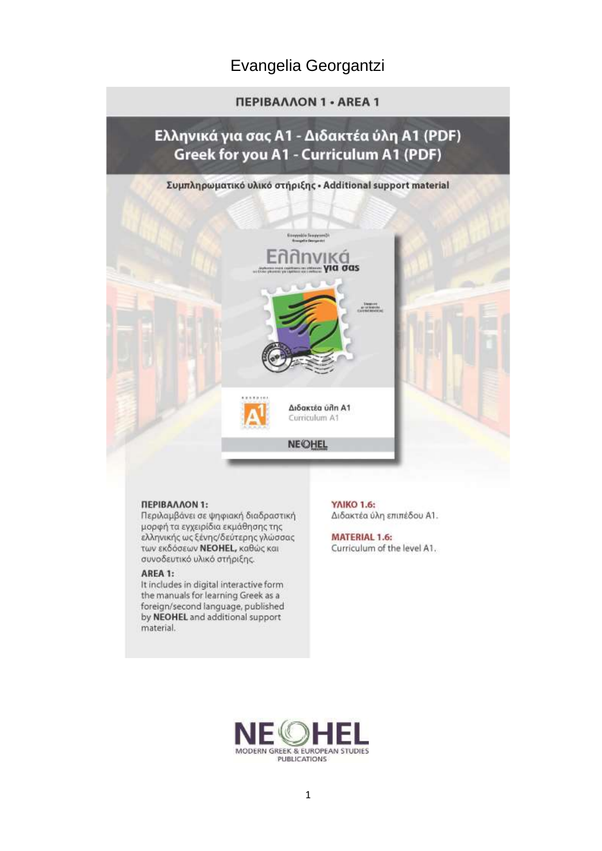### Evangelia Georgantzi

#### **ΠΕΡΙΒΑΛΛΟΝ 1 - AREA 1**

### Ελληνικά για σας Α1 - Διδακτέα ύλη Α1 (PDF) Greek for you A1 - Curriculum A1 (PDF)

# Συμπληρωματικό υλικό στήριξης · Additional support material ∕ | | K C|<br>∷για σαs Διδακτέα ύλη Α1 Curriculum A1 **NEOHEL**

#### ΠΕΡΙΒΑΛΛΟΝ 1:

Περιλαμβάνει σε ψηφιακή διαδραστική μορφή τα εγχειρίδια εκμάθησης της ελληνικής ως ξένης/δεύτερης γλώσσας των εκδόσεων NEOHEL, καθώς και συνοδευτικό υλικό στήριξης.

#### AREA 1:

It includes in digital interactive form the manuals for learning Greek as a foreign/second language, published by NEOHEL and additional support material.

ΥΛΙΚΟ 1.6: Διδακτέα ύλη επιπέδου Α1.

**MATERIAL 1.6:** Curriculum of the level A1.

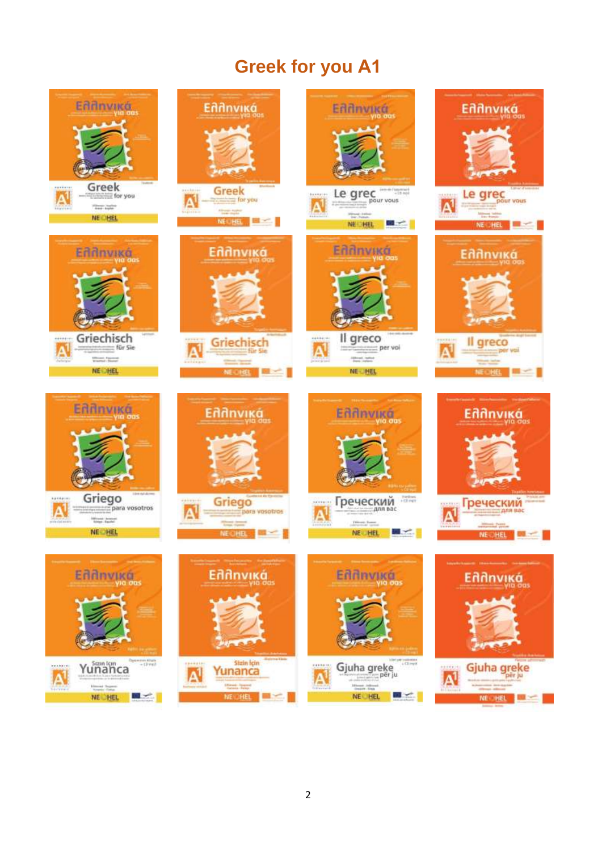## **Greek for you Α1**

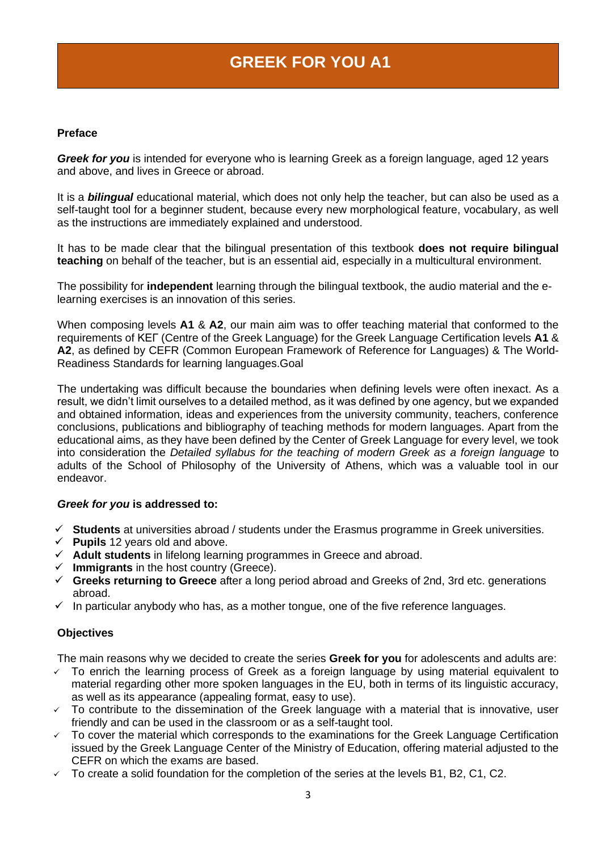### **GREEK FOR YOU A1**

#### **Preface**

*Greek for you* is intended for everyone who is learning Greek as a foreign language, aged 12 years and above, and lives in Greece or abroad.

It is a *bilingual* educational material, which does not only help the teacher, but can also be used as a self-taught tool for a beginner student, because every new morphological feature, vocabulary, as well as the instructions are immediately explained and understood.

Ιt has to be made clear that the bilingual presentation of this textbook **does not require bilingual teaching** on behalf of the teacher, but is an essential aid, especially in a multicultural environment.

The possibility for **independent** learning through the bilingual textbook, the audio material and the elearning exercises is an innovation of this series.

When composing levels **A1** & **A2**, our main aim was to offer teaching material that conformed to the requirements of ΚΕΓ (Centre of the Greek Language) for the Greek Language Certification levels **A1** & **A2**, as defined by CEFR (Common European Framework of Reference for Languages) & The World-Readiness Standards for learning languages.Goal

The undertaking was difficult because the boundaries when defining levels were often inexact. As a result, we didn't limit ourselves to a detailed method, as it was defined by one agency, but we expanded and obtained information, ideas and experiences from the university community, teachers, conference conclusions, publications and bibliography of teaching methods for modern languages. Apart from the educational aims, as they have been defined by the Center of Greek Language for every level, we took into consideration the *Detailed syllabus for the teaching of modern Greek as a foreign language* to adults of the School of Philosophy of the University of Athens, which was a valuable tool in our endeavor.

#### *Greek for you* **is addressed to:**

- ✓ **Students** at universities abroad / students under the Erasmus programme in Greek universities.
- $\checkmark$  **Pupils** 12 years old and above.
- ✓ **Adult students** in lifelong learning programmes in Greece and abroad.
- ✓ **Immigrants** in the host country (Greece).
- ✓ **Greeks returning to Greece** after a long period abroad and Greeks of 2nd, 3rd etc. generations abroad.
- $\checkmark$  In particular anybody who has, as a mother tongue, one of the five reference languages.

#### **Objectives**

The main reasons why we decided to create the series **Greek for you** for adolescents and adults are:

- $\checkmark$  To enrich the learning process of Greek as a foreign language by using material equivalent to material regarding other more spoken languages in the EU, both in terms of its linguistic accuracy, as well as its appearance (appealing format, easy to use).
- $\sim$  To contribute to the dissemination of the Greek language with a material that is innovative, user friendly and can be used in the classroom or as a self-taught tool.
- To cover the material which corresponds to the examinations for the Greek Language Certification issued by the Greek Language Center of the Ministry of Education, offering material adjusted to the CEFR on which the exams are based.
- $\checkmark$  To create a solid foundation for the completion of the series at the levels B1, B2, C1, C2.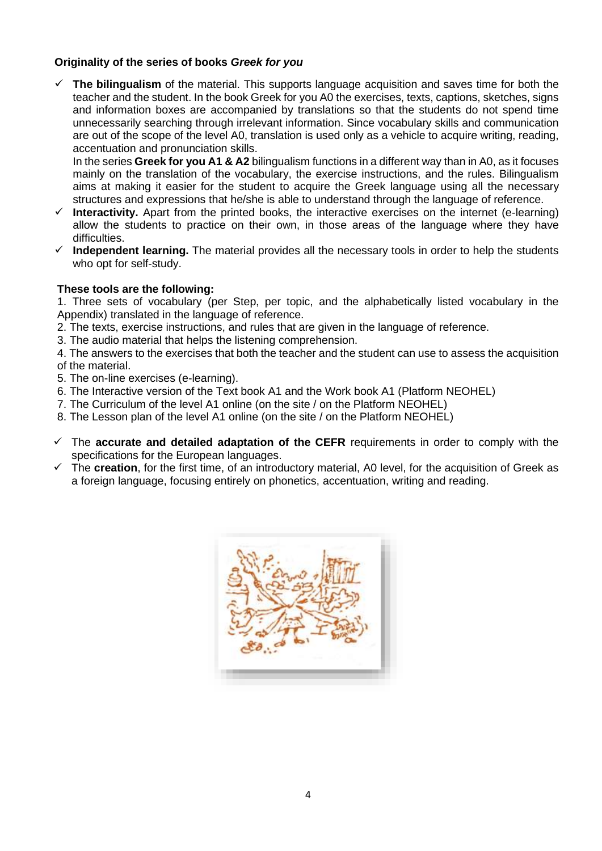#### **Originality of the series of books** *Greek for you*

✓ **The bilingualism** of the material. This supports language acquisition and saves time for both the teacher and the student. In the book Greek for you A0 the exercises, texts, captions, sketches, signs and information boxes are accompanied by translations so that the students do not spend time unnecessarily searching through irrelevant information. Since vocabulary skills and communication are out of the scope of the level A0, translation is used only as a vehicle to acquire writing, reading, accentuation and pronunciation skills.

In the series **Greek for you A1 & A2** bilingualism functions in a different way than in A0, as it focuses mainly on the translation of the vocabulary, the exercise instructions, and the rules. Bilingualism aims at making it easier for the student to acquire the Greek language using all the necessary structures and expressions that he/she is able to understand through the language of reference.

- ✓ **Interactivity.** Apart from the printed books, the interactive exercises on the internet (e-learning) allow the students to practice on their own, in those areas of the language where they have difficulties.
- ✓ **Independent learning.** The material provides all the necessary tools in order to help the students who opt for self-study.

#### **These tools are the following:**

1. Three sets of vocabulary (per Step, per topic, and the alphabetically listed vocabulary in the Appendix) translated in the language of reference.

2. The texts, exercise instructions, and rules that are given in the language of reference.

3. The audio material that helps the listening comprehension.

4. The answers to the exercises that both the teacher and the student can use to assess the acquisition of the material.

- 5. The on-line exercises (e-learning).
- 6. The Interactive version of the Text book A1 and the Work book A1 (Platform NEOHEL)
- 7. The Curriculum of the level A1 online (on the site / on the Platform NEOHEL)
- 8. The Lesson plan of the level A1 online (on the site / on the Platform NEOHEL)
- ✓ The **accurate and detailed adaptation of the CEFR** requirements in order to comply with the specifications for the European languages.
- ✓ The **creation**, for the first time, of an introductory material, A0 level, for the acquisition of Greek as a foreign language, focusing entirely on phonetics, accentuation, writing and reading.

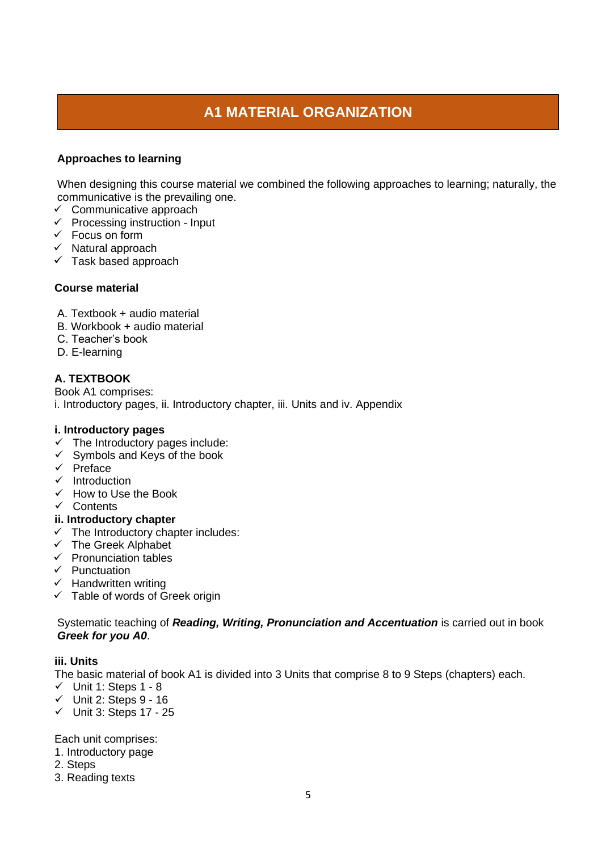### **A1 MATERIAL ORGANIZATION**

#### **Approaches to learning**

When designing this course material we combined the following approaches to learning; naturally, the communicative is the prevailing one.

- $\checkmark$  Communicative approach
- $\checkmark$  Processing instruction Input
- $\checkmark$  Focus on form
- ✓ Natural approach
- $\checkmark$  Task based approach

#### **Course material**

- A. Textbook + audio material
- B. Workbook + audio material
- C. Teacher's book
- D. E-learning

#### **A. TEXTBOOK**

Book A1 comprises: i. Introductory pages, ii. Introductory chapter, iii. Units and iv. Appendix

#### **i. Introductory pages**

- $\checkmark$  The Introductory pages include:
- $\checkmark$  Symbols and Keys of the book
- ✓ Preface
- ✓ Introduction
- ✓ How to Use the Book
- ✓ Contents

#### **ii. Introductory chapter**

- $\checkmark$  The Introductory chapter includes:
- ✓ The Greek Alphabet
- $\checkmark$  Pronunciation tables
- ✓ Punctuation
- ✓ Handwritten writing
- $\checkmark$  Table of words of Greek origin

Systematic teaching of *Reading, Writing, Pronunciation and Accentuation* is carried out in book *Greek for you A0*.

#### **iii. Units**

The basic material of book A1 is divided into 3 Units that comprise 8 to 9 Steps (chapters) each.

- ✓ Unit 1: Steps 1 8
- $\checkmark$  Unit 2: Steps 9 16
- ✓ Unit 3: Steps 17 25

Each unit comprises:

- 1. Introductory page
- 2. Steps
- 3. Reading texts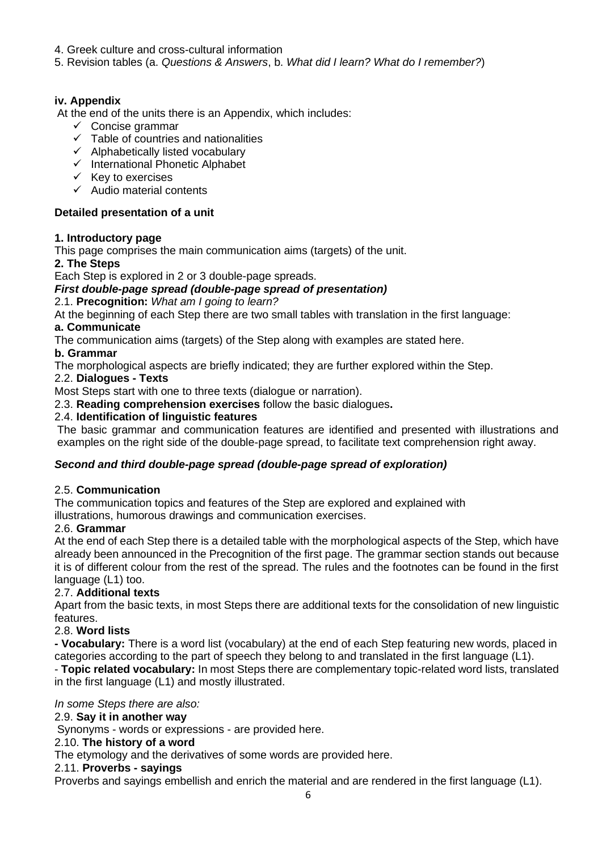- 4. Greek culture and cross-cultural information
- 5. Revision tables (a. *Questions & Answers*, b. *What did I learn? What do I remember?*)

#### **iv. Appendix**

At the end of the units there is an Appendix, which includes:

- $\checkmark$  Concise grammar
- $\checkmark$  Table of countries and nationalities
- ✓ Alphabetically listed vocabulary
- ✓ International Phonetic Alphabet
- $\checkmark$  Key to exercises
- $\checkmark$  Audio material contents

#### **Detailed presentation of a unit**

#### **1. Introductory page**

This page comprises the main communication aims (targets) of the unit.

#### **2. The Steps**

Each Step is explored in 2 or 3 double-page spreads.

#### *First double-page spread (double-page spread of presentation)*

2.1. **Precognition:** *What am I going to learn?*

At the beginning of each Step there are two small tables with translation in the first language:

#### **a. Communicate**

The communication aims (targets) of the Step along with examples are stated here.

#### **b. Grammar**

The morphological aspects are briefly indicated; they are further explored within the Step.

#### 2.2. **Dialogues - Texts**

Most Steps start with one to three texts (dialogue or narration).

2.3. **Reading comprehension exercises** follow the basic dialogues**.**

#### 2.4. **Identification of linguistic features**

The basic grammar and communication features are identified and presented with illustrations and examples on the right side of the double-page spread, to facilitate text comprehension right away.

#### *Second and third double-page spread (double-page spread of exploration)*

#### 2.5. **Communication**

The communication topics and features of the Step are explored and explained with illustrations, humorous drawings and communication exercises.

#### 2.6. **Grammar**

At the end of each Step there is a detailed table with the morphological aspects of the Step, which have already been announced in the Precognition of the first page. The grammar section stands out because it is of different colour from the rest of the spread. The rules and the footnotes can be found in the first language (L1) too.

#### 2.7. **Additional texts**

Apart from the basic texts, in most Steps there are additional texts for the consolidation of new linguistic features.

#### 2.8. **Word lists**

**- Vocabulary:** There is a word list (vocabulary) at the end of each Step featuring new words, placed in categories according to the part of speech they belong to and translated in the first language (L1).

- **Topic related vocabulary:** In most Steps there are complementary topic-related word lists, translated in the first language (L1) and mostly illustrated.

*In some Steps there are also:*

#### 2.9. **Say it in another way**

Synonyms - words or expressions - are provided here.

#### 2.10. **The history of a word**

The etymology and the derivatives of some words are provided here.

#### 2.11. **Proverbs - sayings**

Proverbs and sayings embellish and enrich the material and are rendered in the first language (L1).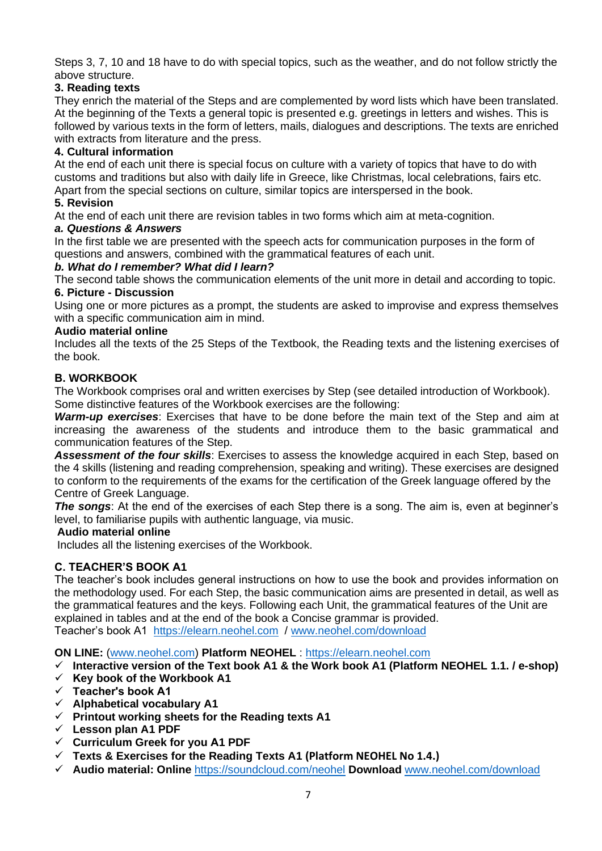Steps 3, 7, 10 and 18 have to do with special topics, such as the weather, and do not follow strictly the above structure.

#### **3. Reading texts**

They enrich the material of the Steps and are complemented by word lists which have been translated. At the beginning of the Texts a general topic is presented e.g. greetings in letters and wishes. This is followed by various texts in the form of letters, mails, dialogues and descriptions. The texts are enriched with extracts from literature and the press.

#### **4. Cultural information**

At the end of each unit there is special focus on culture with a variety of topics that have to do with customs and traditions but also with daily life in Greece, like Christmas, local celebrations, fairs etc. Apart from the special sections on culture, similar topics are interspersed in the book.

#### **5. Revision**

At the end of each unit there are revision tables in two forms which aim at meta-cognition.

#### *a. Questions & Answers*

In the first table we are presented with the speech acts for communication purposes in the form of questions and answers, combined with the grammatical features of each unit.

#### *b. What do I remember? What did I learn?*

The second table shows the communication elements of the unit more in detail and according to topic. **6. Picture - Discussion**

Using one or more pictures as a prompt, the students are asked to improvise and express themselves with a specific communication aim in mind.

#### **Audio material online**

Includes all the texts of the 25 Steps of the Textbook, the Reading texts and the listening exercises of the book.

#### **Β. WORKBOOK**

The Workbook comprises oral and written exercises by Step (see detailed introduction of Workbook). Some distinctive features of the Workbook exercises are the following:

*Warm-up exercises*: Exercises that have to be done before the main text of the Step and aim at increasing the awareness of the students and introduce them to the basic grammatical and communication features of the Step.

*Assessment of the four skills*: Exercises to assess the knowledge acquired in each Step, based on the 4 skills (listening and reading comprehension, speaking and writing). These exercises are designed to conform to the requirements of the exams for the certification of the Greek language offered by the Centre of Greek Language.

**The songs:** At the end of the exercises of each Step there is a song. The aim is, even at beginner's level, to familiarise pupils with authentic language, via music.

#### **Audio material online**

Includes all the listening exercises of the Workbook.

#### **C. TEACHER'S BOOK Α1**

The teacher's book includes general instructions on how to use the book and provides information on the methodology used. For each Step, the basic communication aims are presented in detail, as well as the grammatical features and the keys. Following each Unit, the grammatical features of the Unit are explained in tables and at the end of the book a Concise grammar is provided. Teacher's book A1 [https://elearn.neohel.com](https://elearn.neohel.com/) / [www.neohel.com/download](http://www.neohel.com/download)

**ON LINE:** [\(www.neohel.com\)](http://www.neohel.com/) **Platform NEOHEL** : [https://elearn.neohel.com](https://elearn.neohel.com/)

- ✓ **Interactive version of the Text book A1 & the Work book A1 (Platform NEOHEL 1.1. / e-shop)**
- ✓ **Κey book of the Workbook A1**
- ✓ **Teacher's book Α1**
- ✓ **Alphabetical vocabulary A1**
- ✓ **Printout working sheets for the Reading texts A1**
- ✓ **Lesson plan A1 PDF**
- ✓ **Curriculum Greek for you Α1 PDF**
- ✓ **Texts & Exercises for the Reading Texts A1 (Platform NEOHEL No 1.4.)**
- ✓ **Audio material: Online** <https://soundcloud.com/neohel> **Download** [www.neohel.com/download](http://www.neohel.com/download)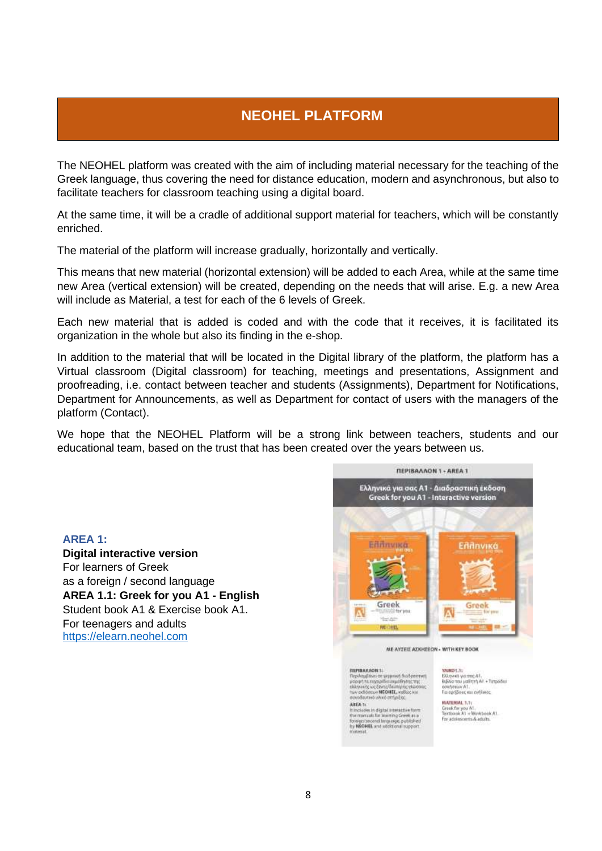### **NEOHEL PLATFORM**

The NEOHEL platform was created with the aim of including material necessary for the teaching of the Greek language, thus covering the need for distance education, modern and asynchronous, but also to facilitate teachers for classroom teaching using a digital board.

At the same time, it will be a cradle of additional support material for teachers, which will be constantly enriched.

The material of the platform will increase gradually, horizontally and vertically.

This means that new material (horizontal extension) will be added to each Area, while at the same time new Area (vertical extension) will be created, depending on the needs that will arise. E.g. a new Area will include as Material, a test for each of the 6 levels of Greek.

Each new material that is added is coded and with the code that it receives, it is facilitated its organization in the whole but also its finding in the e-shop.

In addition to the material that will be located in the Digital library of the platform, the platform has a Virtual classroom (Digital classroom) for teaching, meetings and presentations, Assignment and proofreading, i.e. contact between teacher and students (Assignments), Department for Notifications, Department for Announcements, as well as Department for contact of users with the managers of the platform (Contact).

We hope that the NEOHEL Platform will be a strong link between teachers, students and our educational team, based on the trust that has been created over the years between us.

**AREA 1:** 

**Digital interactive version** For learners of Greek as a foreign / second language **AREA 1.1: Greek for you A1 - English** Student book A1 & Exercise book A1. For teenagers and adults [https://elearn.neohel.com](https://elearn.neohel.com/)



**ΠΕΡΙΝΑΛΛΟΝ**<br>1: Περιλαμβάνει σε φημικκή διαδραστική<br>100001: 14 εκχρημβάνει σμιμάτησης της Κωσσας<br>1040001: Κων ΟΠΟΗΕΕΙ, καθώς και<br>αυκοδαυτικό υλικό στήριξας<br>αυκοδαυτικό υλικό στήριξας AREA to AREA 1:<br>It includes in digital interactive fo<br>the manuals for learning Greek a the manuals for learning Greek as a<br>foreign/second limpuage, published<br>by NEOHEL and additional rupport

**ΥΛΙΚΟ!**..1:<br>Ελληνικά για από Α!.<br>Βιβλίο του μαθητή ΑΕ + Τετρόδιο<br>ασκήσεων Α!.<br>Για αρήβους και ενήλικος MATERIAL 1.1

reok for you A1.<br>ntbook A1 + Wontbook A1. Fee admissioners & admits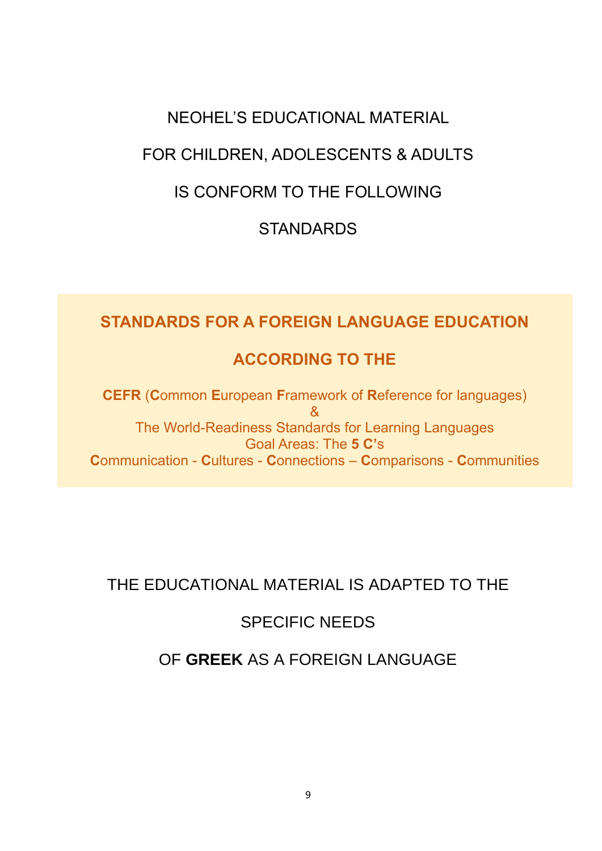### NEOHEL'S EDUCATIONAL MATERIAL

### FOR CHILDREN, ADOLESCENTS & ADULTS

### IS CONFORM TO THE FOLLOWING

### **STANDARDS**

### **STANDARDS FOR A FOREIGN LANGUAGE EDUCATION**

### **ACCORDING TO THE**

**CEFR** (**C**ommon **E**uropean **F**ramework of **R**eference for languages) & The World-Readiness Standards for Learning Languages Goal Areas: The **5 C'**s **C**ommunication - **C**ultures - **C**onnections – **C**omparisons - **C**ommunities

### THE EDUCATIONAL MATERIAL IS ADAPTED TO THE

### SPECIFIC NEEDS

### OF **GREEK** AS A FOREIGN LANGUAGE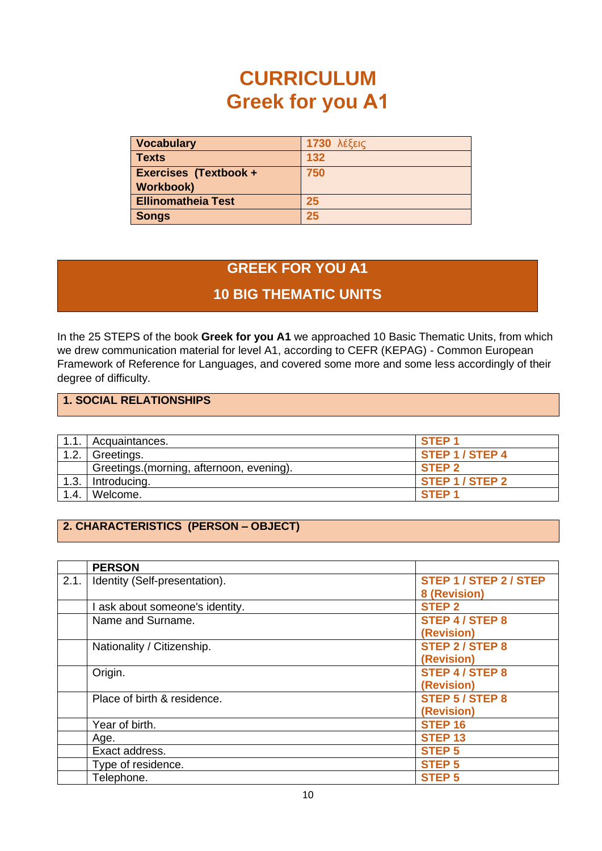# **CURRICULUM Greek for you Α1**

| <b>Vocabulary</b>            | <b>1730</b> λέξεις |
|------------------------------|--------------------|
| <b>Texts</b>                 | 132                |
| <b>Exercises (Textbook +</b> | 750                |
| <b>Workbook)</b>             |                    |
| <b>Ellinomatheia Test</b>    | 25                 |
| <b>Songs</b>                 | 25                 |

### **GREEK FOR YOU Α1**

### **10 BIG THEMATIC UNITS**

In the 25 STEPS of the book **Greek for you A1** we approached 10 Basic Thematic Units, from which we drew communication material for level A1, according to CEFR (KEPAG) - Common European Framework of Reference for Languages, and covered some more and some less accordingly of their degree of difficulty.

#### **1. SOCIAL RELATIONSHIPS**

Ξ

| 1.1. | Acquaintances.                            | STEP <sub>1</sub>      |
|------|-------------------------------------------|------------------------|
| 1.2. | Greetings.                                | <b>STEP 1 / STEP 4</b> |
|      | Greetings. (morning, afternoon, evening). | STEP <sub>2</sub>      |
| 1.3. | Introducing.                              | STEP 1 / STEP 2        |
| 1.4. | Welcome.                                  | STEP <sub>1</sub>      |

#### **2. CHARACTERISTICS (PERSON – OBJECT)**

|      | <b>PERSON</b>                   |                        |
|------|---------------------------------|------------------------|
| 2.1. | Identity (Self-presentation).   | STEP 1 / STEP 2 / STEP |
|      |                                 | 8 (Revision)           |
|      | l ask about someone's identity. | <b>STEP 2</b>          |
|      | Name and Surname.               | <b>STEP 4 / STEP 8</b> |
|      |                                 | (Revision)             |
|      | Nationality / Citizenship.      | <b>STEP 2 / STEP 8</b> |
|      |                                 | (Revision)             |
|      | Origin.                         | <b>STEP 4 / STEP 8</b> |
|      |                                 | (Revision)             |
|      | Place of birth & residence.     | <b>STEP 5 / STEP 8</b> |
|      |                                 | (Revision)             |
|      | Year of birth.                  | STEP <sub>16</sub>     |
|      | Age.                            | <b>STEP 13</b>         |
|      | Exact address.                  | <b>STEP 5</b>          |
|      | Type of residence.              | <b>STEP 5</b>          |
|      | Telephone.                      | <b>STEP 5</b>          |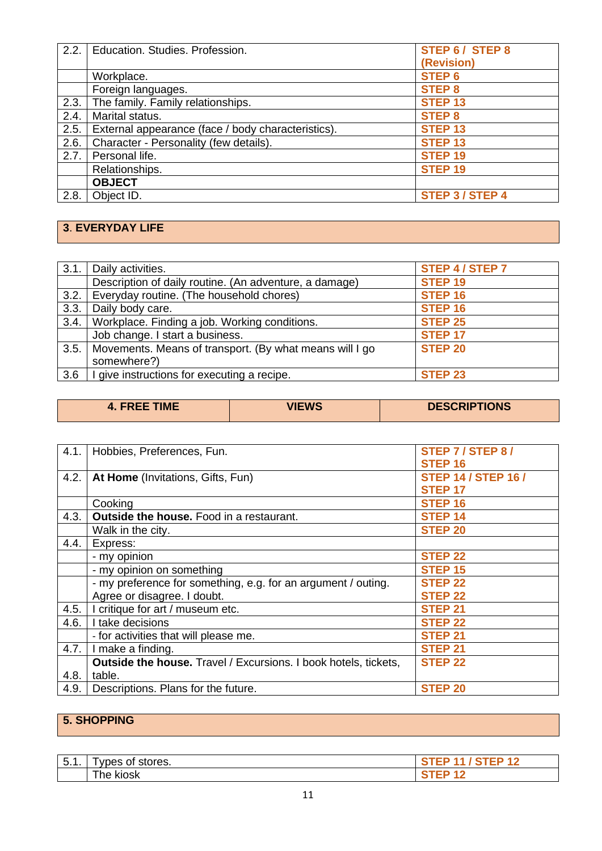| 2.2.1 | Education. Studies. Profession.                    | <b>STEP 6 / STEP 8</b> |
|-------|----------------------------------------------------|------------------------|
|       |                                                    | (Revision)             |
|       | Workplace.                                         | <b>STEP 6</b>          |
|       | Foreign languages.                                 | <b>STEP 8</b>          |
| 2.3.  | The family. Family relationships.                  | <b>STEP 13</b>         |
| 2.4.  | Marital status.                                    | <b>STEP 8</b>          |
| 2.5.  | External appearance (face / body characteristics). | <b>STEP 13</b>         |
| 2.6.  | Character - Personality (few details).             | STEP <sub>13</sub>     |
| 2.7.  | Personal life.                                     | STEP <sub>19</sub>     |
|       | Relationships.                                     | STEP <sub>19</sub>     |
|       | <b>OBJECT</b>                                      |                        |
| 2.8.  | Object ID.                                         | <b>STEP 3 / STEP 4</b> |

### **3**. **EVERYDAY LIFE**

ī

| 3.1. | Daily activities.                                       | <b>STEP 4 / STEP 7</b> |
|------|---------------------------------------------------------|------------------------|
|      | Description of daily routine. (An adventure, a damage)  | <b>STEP 19</b>         |
| 3.2. | Everyday routine. (The household chores)                | STEP <sub>16</sub>     |
| 3.3. | Daily body care.                                        | STEP <sub>16</sub>     |
| 3.4. | Workplace. Finding a job. Working conditions.           | <b>STEP 25</b>         |
|      | Job change. I start a business.                         | <b>STEP 17</b>         |
| 3.5. | Movements. Means of transport. (By what means will I go | <b>STEP 20</b>         |
|      | somewhere?)                                             |                        |
| 3.6  | I give instructions for executing a recipe.             | STEP <sub>23</sub>     |
|      |                                                         |                        |

| <b>4. FREE TIME</b> | <b>VIEWS</b> | <b>DESCRIPTIONS</b> |
|---------------------|--------------|---------------------|
|                     |              |                     |

| 4.1. | Hobbies, Preferences, Fun.                                             | STEP 7 / STEP 8 /          |
|------|------------------------------------------------------------------------|----------------------------|
|      |                                                                        | STEP <sub>16</sub>         |
| 4.2. | At Home (Invitations, Gifts, Fun)                                      | <b>STEP 14 / STEP 16 /</b> |
|      |                                                                        | <b>STEP 17</b>             |
|      | Cooking                                                                | <b>STEP 16</b>             |
| 4.3. | <b>Outside the house.</b> Food in a restaurant.                        | <b>STEP 14</b>             |
|      | Walk in the city.                                                      | <b>STEP 20</b>             |
| 4.4. | Express:                                                               |                            |
|      | - my opinion                                                           | <b>STEP 22</b>             |
|      | - my opinion on something                                              | <b>STEP 15</b>             |
|      | - my preference for something, e.g. for an argument / outing.          | <b>STEP 22</b>             |
|      | Agree or disagree. I doubt.                                            | <b>STEP 22</b>             |
| 4.5. | I critique for art / museum etc.                                       | <b>STEP 21</b>             |
| 4.6. | I take decisions                                                       | <b>STEP 22</b>             |
|      | - for activities that will please me.                                  | <b>STEP 21</b>             |
| 4.7. | I make a finding.                                                      | <b>STEP 21</b>             |
|      | <b>Outside the house.</b> Travel / Excursions. I book hotels, tickets, | <b>STEP 22</b>             |
| 4.8. | table.                                                                 |                            |
| 4.9. | Descriptions. Plans for the future.                                    | <b>STEP 20</b>             |

### **5. SHOPPING**

| $\overline{\phantom{0}}$<br>. .<br>v.<br>. . | vnes<br>stores.<br>~1<br>الد. |  |
|----------------------------------------------|-------------------------------|--|
|                                              | --<br>--<br>KIOSK<br>ne.      |  |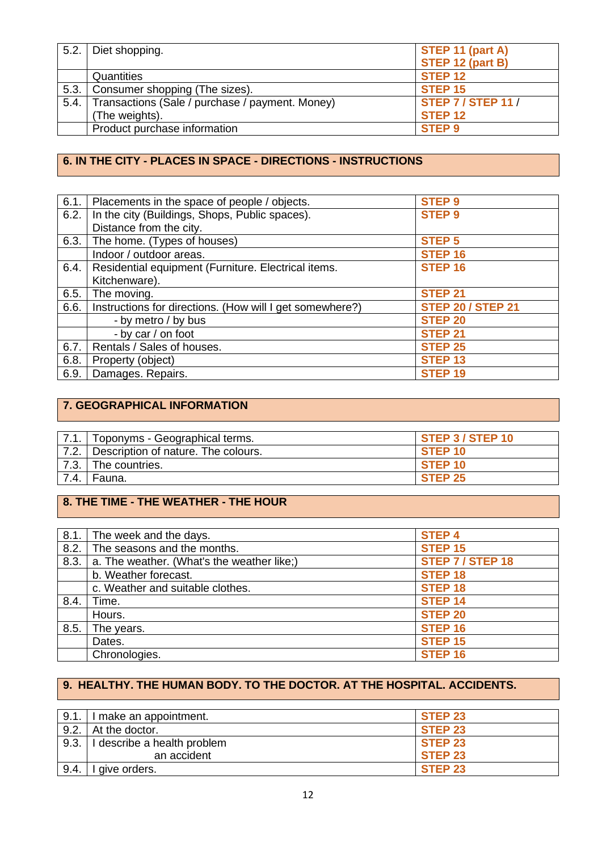| 5.2. | Diet shopping.                                  | STEP 11 (part A)          |
|------|-------------------------------------------------|---------------------------|
|      |                                                 | STEP 12 (part B)          |
|      | Quantities                                      | STEP <sub>12</sub>        |
| 5.3. | Consumer shopping (The sizes).                  | STEP <sub>15</sub>        |
| 5.4. | Transactions (Sale / purchase / payment. Money) | <b>STEP 7 / STEP 11 /</b> |
|      | (The weights).                                  | STEP <sub>12</sub>        |
|      | Product purchase information                    | <b>STEP 9</b>             |
|      |                                                 |                           |

#### **6. IN THE CITY - PLACES IN SPACE - DIRECTIONS - INSTRUCTIONS**

| 6.1. | Placements in the space of people / objects.             | <b>STEP 9</b>            |
|------|----------------------------------------------------------|--------------------------|
| 6.2. | In the city (Buildings, Shops, Public spaces).           | <b>STEP 9</b>            |
|      | Distance from the city.                                  |                          |
| 6.3. | The home. (Types of houses)                              | <b>STEP 5</b>            |
|      | Indoor / outdoor areas.                                  | <b>STEP 16</b>           |
| 6.4. | Residential equipment (Furniture. Electrical items.      | <b>STEP 16</b>           |
|      | Kitchenware).                                            |                          |
| 6.5. | The moving.                                              | <b>STEP 21</b>           |
| 6.6. | Instructions for directions. (How will I get somewhere?) | <b>STEP 20 / STEP 21</b> |
|      | - by metro / by bus                                      | <b>STEP 20</b>           |
|      | - by car / on foot                                       | <b>STEP 21</b>           |
| 6.7. | Rentals / Sales of houses.                               | <b>STEP 25</b>           |
| 6.8. | Property (object)                                        | <b>STEP 13</b>           |
| 6.9. | Damages. Repairs.                                        | <b>STEP 19</b>           |
|      |                                                          |                          |

### **7. GEOGRAPHICAL INFORMATION**

ī

|      | 7.1.   Toponyms - Geographical terms.    | <b>STEP 3 / STEP 10</b> |
|------|------------------------------------------|-------------------------|
|      | 7.2. Description of nature. The colours. | STEP <sub>10</sub>      |
|      | 7.3. The countries.                      | STEP <sub>10</sub>      |
| 7.4. | l Fauna.                                 | STEP <sub>25</sub>      |

### **8. THE TIME - THE WEATHER - THE HOUR**

| 8.1. | The week and the days.                     | <b>STEP 4</b>           |
|------|--------------------------------------------|-------------------------|
| 8.2. | The seasons and the months.                | <b>STEP 15</b>          |
| 8.3. | a. The weather. (What's the weather like;) | <b>STEP 7 / STEP 18</b> |
|      | b. Weather forecast.                       | <b>STEP 18</b>          |
|      | c. Weather and suitable clothes.           | <b>STEP 18</b>          |
| 8.4. | Time.                                      | <b>STEP 14</b>          |
|      | Hours.                                     | <b>STEP 20</b>          |
| 8.5. | The years.                                 | STEP <sub>16</sub>      |
|      | Dates.                                     | <b>STEP 15</b>          |
|      | Chronologies.                              | STEP <sub>16</sub>      |

#### **9. HEALTHY. THE HUMAN BODY. TO THE DOCTOR. AT THE HOSPITAL. ACCIDENTS.**

| 9.1. | I make an appointment.      | STEP <sub>23</sub> |
|------|-----------------------------|--------------------|
| 9.2. | At the doctor.              | STEP <sub>23</sub> |
| 9.3. | I describe a health problem | <b>STEP 23</b>     |
|      | an accident                 | <b>STEP 23</b>     |
| 9.4. | give orders.                | <b>STEP 23</b>     |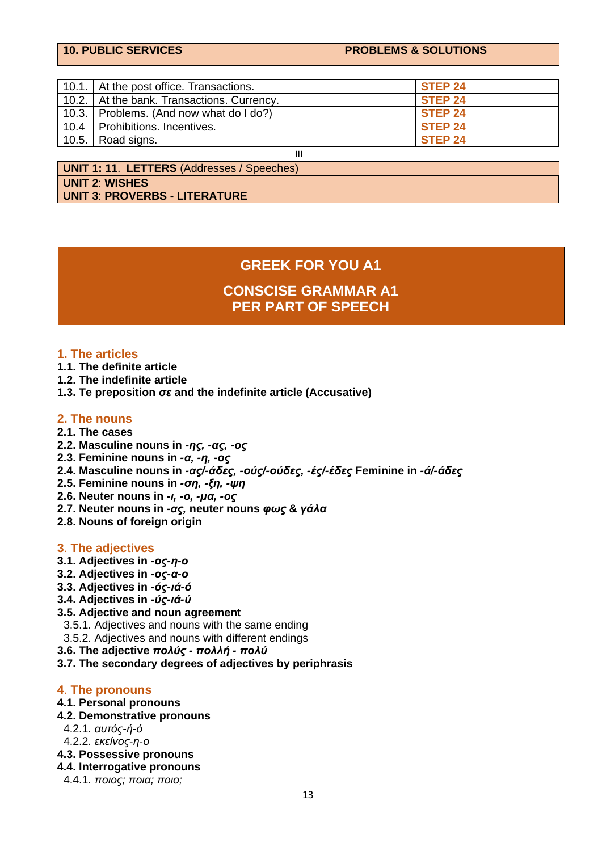|  |  |  |  | <b>10. PUBLIC SERVICES</b> |
|--|--|--|--|----------------------------|
|--|--|--|--|----------------------------|

#### **PROBLEMS & SOLUTIONS**

|      | 10.1. At the post office. Transactions.      | STEP 24            |
|------|----------------------------------------------|--------------------|
|      | 10.2.   At the bank. Transactions. Currency. | STEP 24            |
|      | 10.3. Problems. (And now what do I do?)      | STEP <sub>24</sub> |
| 10.4 | l Prohibitions. Incentives.                  | STEP <sub>24</sub> |
|      | 10.5. $\vert$ Road signs.                    | STEP <sub>24</sub> |
| Ш    |                                              |                    |

**UNIT 2**: **WISHES UNIT 3**: **PROVERBS - LITERATURE UNIT 1: 11**. **LETTERS** (Addresses / Speeches)

### **GREEK FOR YOU Α1**

**CONSCISE GRAMMAR A1 PER PART OF SPEECH**

#### **1. The articles**

- **1.1. The definite article**
- **1.2. The indefinite article**
- **1.3. Te preposition** *σε* **and the indefinite article (Accusative)**

#### **2. The nouns**

- **2.1. The cases**
- **2.2. Masculine nouns in** *-ης, -ας, -ος*
- **2.3. Feminine nouns in** *-α, -η, -ος*
- **2.4. Masculine nouns in** *-ας/-άδες, -ούς/-ούδες, -ές/-έδες* **Feminine in** *-ά/-άδες*
- **2.5. Feminine nouns in** *-ση, -ξη, -ψη*
- **2.6. Neuter nouns in** *-ι, -ο, -μα, -ος*
- **2.7. Neuter nouns in** *-ας,* **neuter nouns** *φως* **&** *γάλα*
- **2.8. Nouns of foreign origin**

#### **3**. **The adjectives**

- **3.1. Adjectives in** *-ος-η-ο*
- **3.2. Adjectives in** *-ος-α-ο*
- **3.3. Adjectives in** *-ός-ιά-ό*
- **3.4. Adjectives in** *-ύς-ιά-ύ*
- **3.5. Adjective and noun agreement**
- 3.5.1. Adjectives and nouns with the same ending
- 3.5.2. Adjectives and nouns with different endings
- **3.6. The adjective** *πολύς - πολλή - πολύ*
- **3.7. The secondary degrees of adjectives by periphrasis**

#### **4**. **The pronouns**

- **4.1. Personal pronouns**
- **4.2. Demonstrative pronouns**
- 4.2.1. *αυτός-ή-ό*
- 4.2.2. *εκείνος-η-ο*
- **4.3. Possessive pronouns**
- **4.4. Interrogative pronouns**
	- 4.4.1. *ποιος; ποια; ποιο;*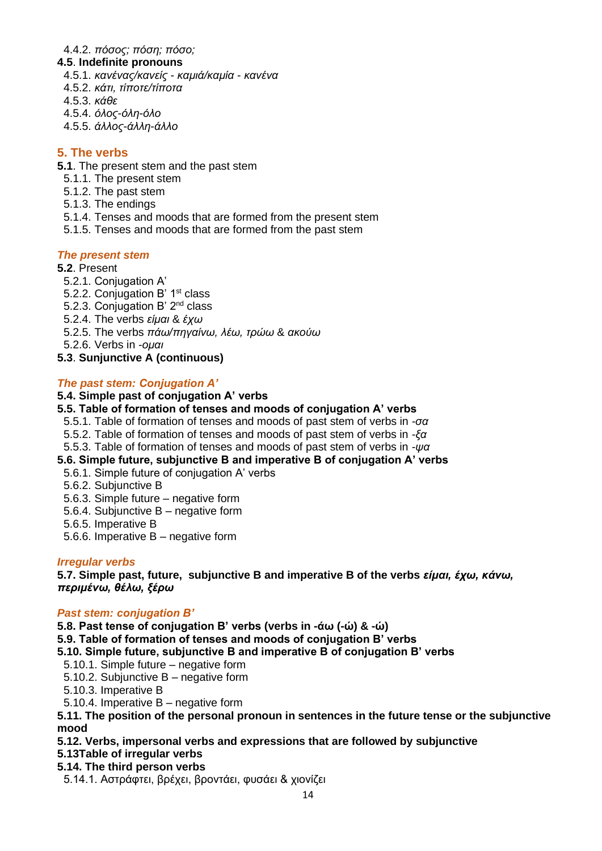#### 4.4.2. *πόσος; πόση; πόσο;*

#### **4.5**. **Indefinite pronouns**

- 4.5.1. *κανένας/κανείς - καμιά/καμία - κανένα*
- 4.5.2. *κάτι, τίποτε/τίποτα*
- 4.5.3. *κάθε*
- 4.5.4. *όλος-όλη-όλο*
- 4.5.5. *άλλος-άλλη-άλλο*

#### **5. The verbs**

- **5.1**. The present stem and the past stem
	- 5.1.1. The present stem
	- 5.1.2. The past stem
	- 5.1.3. The endings
	- 5.1.4. Tenses and moods that are formed from the present stem
	- 5.1.5. Tenses and moods that are formed from the past stem

#### *The present stem*

- **5.2**. Present
	- 5.2.1. Conjugation A'
	- 5.2.2. Conjugation B' 1<sup>st</sup> class
	- 5.2.3. Conjugation B' 2nd class
	- 5.2.4. The verbs *είμαι* & *έχω*
	- 5.2.5. The verbs *πάω/πηγαίνω, λέω, τρώω* & *ακούω*
	- 5.2.6. Verbs in *-ομαι*
- **5.3**. **Sunjunctive A (continuous)**

#### *The past stem: Conjugation A'*

#### **5.4. Simple past of conjugation A' verbs**

- **5.5. Table of formation of tenses and moods of conjugation A' verbs**
- 5.5.1. Table of formation of tenses and moods of past stem of verbs in *-σα*
- 5.5.2. Table of formation of tenses and moods of past stem of verbs in *-ξα*
- 5.5.3. Table of formation of tenses and moods of past stem of verbs in *-ψα*
- **5.6. Simple future, subjunctive B and imperative B of conjugation A' verbs**
- 5.6.1. Simple future of conjugation A' verbs
- 5.6.2. Subjunctive B
- 5.6.3. Simple future negative form
- 5.6.4. Subjunctive B negative form
- 5.6.5. Imperative B
- 5.6.6. Imperative B negative form

#### *Irregular verbs*

**5.7. Simple past, future, subjunctive B and imperative B of the verbs** *είμαι, έχω, κάνω, περιμένω, θέλω, ξέρω*

#### *Past stem: conjugation B'*

**5.8. Past tense of conjugation B' verbs (verbs in -άω (-ώ) & -ώ)** 

**5.9. Table of formation of tenses and moods of conjugation B' verbs**

- **5.10. Simple future, subjunctive B and imperative B of conjugation B' verbs**
- 5.10.1. Simple future negative form
- 5.10.2. Subjunctive B negative form
- 5.10.3. Imperative B
- 5.10.4. Imperative B negative form

**5.11. The position of the personal pronoun in sentences in the future tense or the subjunctive mood**

#### **5.12. Verbs, impersonal verbs and expressions that are followed by subjunctive**

- **5.13Table of irregular verbs**
- **5.14. The third person verbs**
- 5.14.1. Αστράφτει, βρέχει, βροντάει, φυσάει & χιονίζει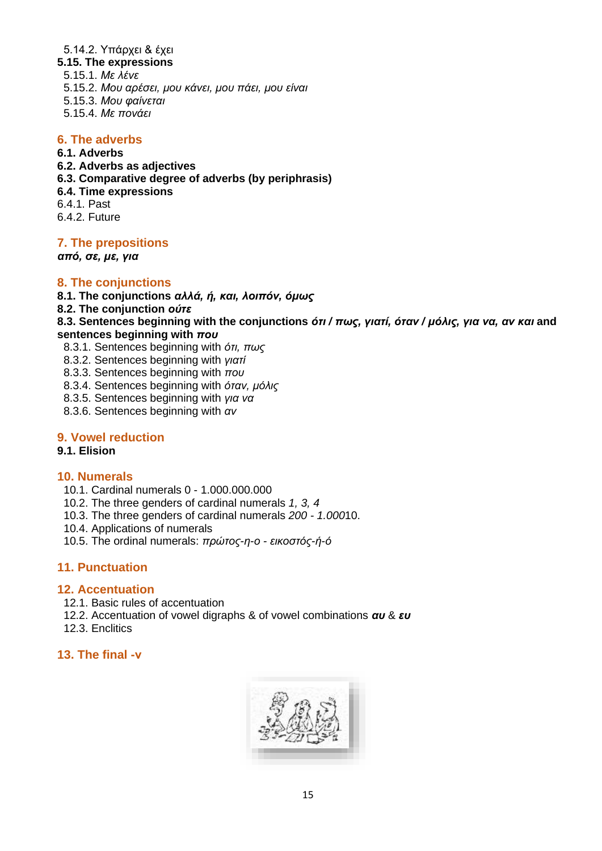#### 5.14.2. Υπάρχει & έχει

- **5.15. The expressions**
- 5.15.1. *Με λένε*
- 5.15.2. *Μου αρέσει, μου κάνει, μου πάει, μου είναι*
- 5.15.3. *Μου φαίνεται*
- 5.15.4. *Με πονάει*

#### **6. The adverbs**

#### **6.1. Adverbs**

- **6.2. Adverbs as adjectives**
- **6.3. Comparative degree of adverbs (by periphrasis)**
- **6.4. Time expressions**
- 6.4.1. Past
- 6.4.2. Future

#### **7. The prepositions**

*από, σε, με, για* 

#### **8. The conjunctions**

- **8.1. The conjunctions** *αλλά, ή, και, λοιπόν, όμως*
- **8.2. The conjunction** *ούτε*

**8.3. Sentences beginning with the conjunctions** *ότι / πως, γιατί, όταν / μόλις, για να, αν και* **and sentences beginning with** *που*

- 8.3.1. Sentences beginning with *ότι, πως*
- 8.3.2. Sentences beginning with *γιατί*
- 8.3.3. Sentences beginning with *που*
- 8.3.4. Sentences beginning with *όταν, μόλις*
- 8.3.5. Sentences beginning with *για να*
- 8.3.6. Sentences beginning with *αν*

#### **9. Vowel reduction**

#### **9.1. Elision**

#### **10. Numerals**

- 10.1. Cardinal numerals 0 1.000.000.000
- 10.2. The three genders of cardinal numerals *1, 3, 4*
- 10.3. The three genders of cardinal numerals *200 - 1.000*10.
- 10.4. Applications of numerals
- 10.5. The ordinal numerals: *πρώτος-η-ο - εικοστός-ή-ό*

#### **11. Punctuation**

#### **12. Accentuation**

- 12.1. Basic rules of accentuation
- 12.2. Accentuation of vowel digraphs & of vowel combinations *αυ* & *ευ*
- 12.3. Enclitics

#### **13. The final -ν**

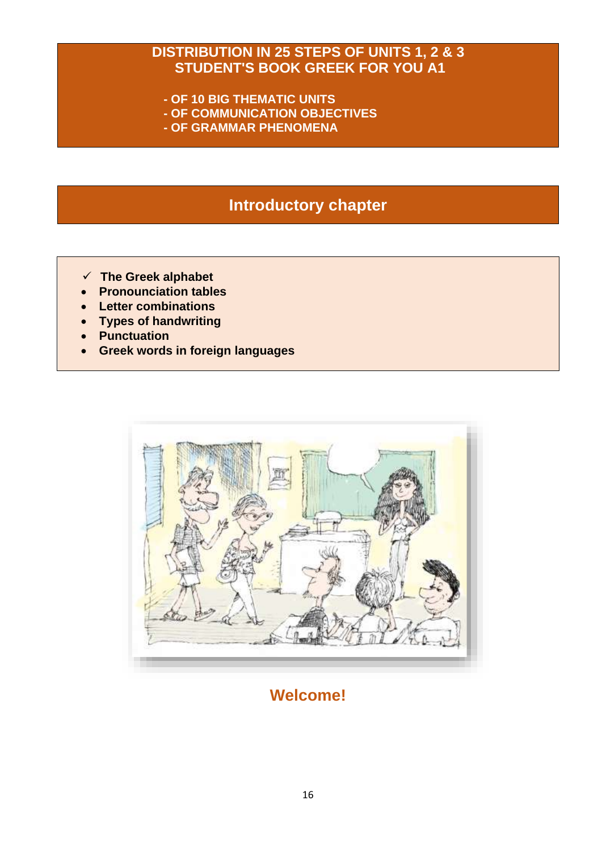### **DISTRIBUTION IN 25 STEPS OF UNITS 1, 2 & 3 STUDENT'S BOOK GREEK FOR YOU A1**

- **- OF 10 BIG THEMATIC UNITS**
- **- OF COMMUNICATION OBJECTIVES**
- **- OF GRAMMAR PHENOMENA**

### **Introductory chapter**

- ✓ **The Greek alphabet**
- **Pronounciation tables**
- **Letter combinations**
- **Types of handwriting**
- **Punctuation**
- **Greek words in foreign languages**



### **Welcome!**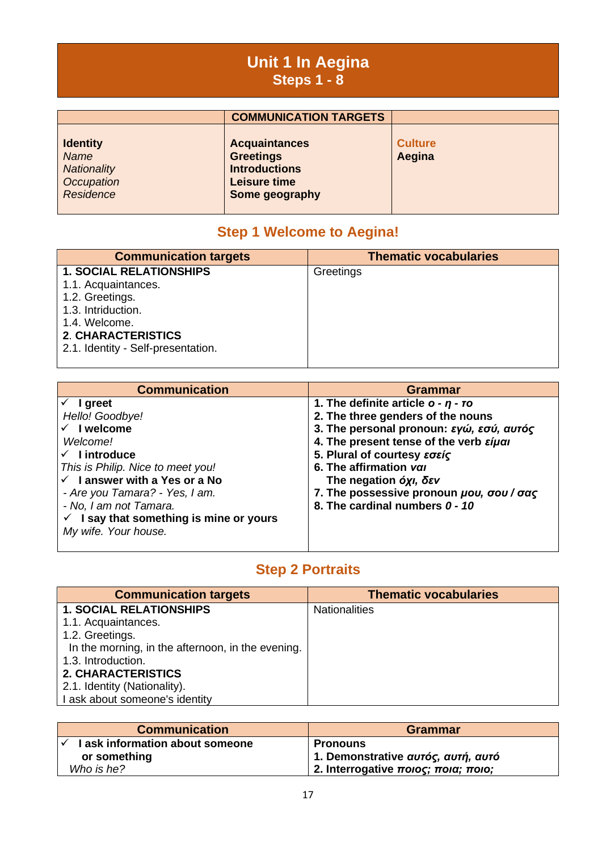### **Unit 1 In Aegina Steps 1 - 8**

|                                                                          | <b>COMMUNICATION TARGETS</b>                                                                       |                          |
|--------------------------------------------------------------------------|----------------------------------------------------------------------------------------------------|--------------------------|
| <b>Identity</b><br><b>Name</b><br>Nationality<br>Occupation<br>Residence | <b>Acquaintances</b><br><b>Greetings</b><br><b>Introductions</b><br>Leisure time<br>Some geography | <b>Culture</b><br>Aegina |

### **Step 1 Welcome to Aegina!**

| <b>Communication targets</b>       | <b>Thematic vocabularies</b> |
|------------------------------------|------------------------------|
| <b>1. SOCIAL RELATIONSHIPS</b>     | Greetings                    |
| 1.1. Acquaintances.                |                              |
| 1.2. Greetings.                    |                              |
| 1.3. Intriduction.                 |                              |
| 1.4. Welcome.                      |                              |
| <b>2. CHARACTERISTICS</b>          |                              |
| 2.1. Identity - Self-presentation. |                              |
|                                    |                              |

| <b>Communication</b>                     | Grammar                                          |
|------------------------------------------|--------------------------------------------------|
| I greet                                  | 1. The definite article $o - \eta - \tau o$      |
| Hello! Goodbye!                          | 2. The three genders of the nouns                |
| I welcome                                | 3. The personal pronoun: εγώ, εσύ, αυτός         |
| Welcome!                                 | 4. The present tense of the verb $\epsilon$ iual |
| $\checkmark$ lintroduce                  | 5. Plural of courtesy εσείς                      |
| This is Philip. Nice to meet you!        | 6. The affirmation vall                          |
| $\checkmark$ I answer with a Yes or a No | The negation όχι, δεν                            |
| - Are you Tamara? - Yes, I am.           | 7. The possessive pronoun <i>µou</i> , oou / oas |
| - No, I am not Tamara.                   | 8. The cardinal numbers 0 - 10                   |
| I say that something is mine or yours    |                                                  |
| My wife. Your house.                     |                                                  |
|                                          |                                                  |

### **Step 2 Portraits**

| <b>Communication targets</b>                      | <b>Thematic vocabularies</b> |
|---------------------------------------------------|------------------------------|
| <b>1. SOCIAL RELATIONSHIPS</b>                    | <b>Nationalities</b>         |
| 1.1. Acquaintances.                               |                              |
| 1.2. Greetings.                                   |                              |
| In the morning, in the afternoon, in the evening. |                              |
| 1.3. Introduction.                                |                              |
| <b>2. CHARACTERISTICS</b>                         |                              |
| 2.1. Identity (Nationality).                      |                              |
| I ask about someone's identity                    |                              |

| <b>Communication</b>            | <b>Grammar</b>                                   |
|---------------------------------|--------------------------------------------------|
| I ask information about someone | <b>Pronouns</b>                                  |
| or something                    | 1. Demonstrative αυτός, αυτή, αυτό               |
| Who is he?                      | <sup>ι</sup> 2. Interrogative ποιος; ποια; ποιο; |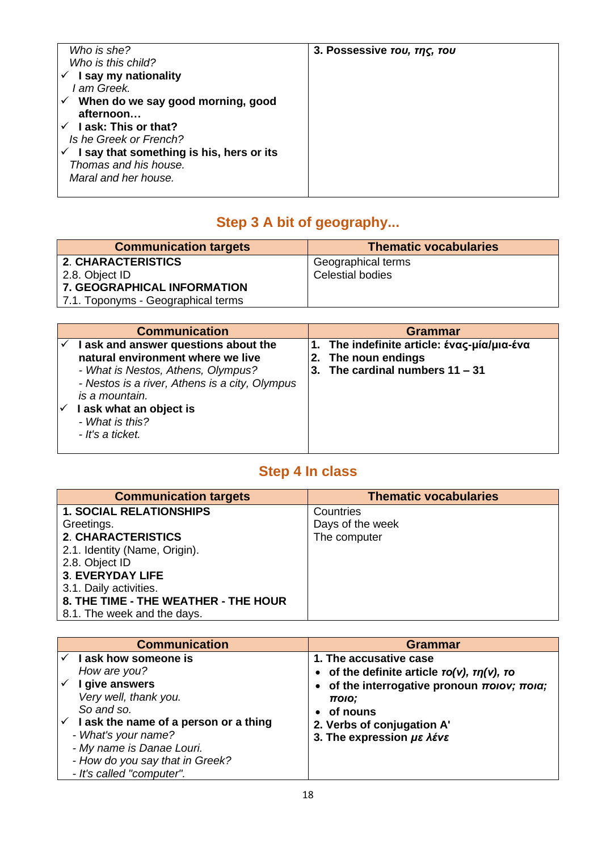| Who is she?                              | 3. Possessive rou, rns, rou |
|------------------------------------------|-----------------------------|
| Who is this child?                       |                             |
| I say my nationality                     |                             |
| I am Greek.                              |                             |
| When do we say good morning, good<br>✓   |                             |
| afternoon                                |                             |
| <b>Lask: This or that?</b>               |                             |
| Is he Greek or French?                   |                             |
| I say that something is his, hers or its |                             |
| Thomas and his house.                    |                             |
| Maral and her house.                     |                             |
|                                          |                             |

## **Step 3 A bit of geography...**

| <b>Communication targets</b>       | <b>Thematic vocabularies</b> |
|------------------------------------|------------------------------|
| 2. CHARACTERISTICS                 | Geographical terms           |
| 2.8. Object ID                     | <b>Celestial bodies</b>      |
| <b>7. GEOGRAPHICAL INFORMATION</b> |                              |
| 7.1. Toponyms - Geographical terms |                              |

| <b>Communication</b>                                                                                                                                                                                                                                  | Grammar                                                                                                                                  |
|-------------------------------------------------------------------------------------------------------------------------------------------------------------------------------------------------------------------------------------------------------|------------------------------------------------------------------------------------------------------------------------------------------|
| I ask and answer questions about the<br>natural environment where we live<br>- What is Nestos, Athens, Olympus?<br>- Nestos is a river, Athens is a city, Olympus<br>is a mountain.<br>I ask what an object is<br>- What is this?<br>- It's a ticket. | 1. The indefinite article: $\epsilon$ vac- $\mu$ ia/ $\mu$ ia- $\epsilon$ va<br>2. The noun endings<br>3. The cardinal numbers $11 - 31$ |

### **Step 4 In class**

| <b>Communication targets</b>         | <b>Thematic vocabularies</b> |
|--------------------------------------|------------------------------|
| <b>1. SOCIAL RELATIONSHIPS</b>       | Countries                    |
| Greetings.                           | Days of the week             |
| <b>2. CHARACTERISTICS</b>            | The computer                 |
| 2.1. Identity (Name, Origin).        |                              |
| 2.8. Object ID                       |                              |
| <b>3. EVERYDAY LIFE</b>              |                              |
| 3.1. Daily activities.               |                              |
| 8. THE TIME - THE WEATHER - THE HOUR |                              |
| 8.1. The week and the days.          |                              |

| <b>Communication</b> |                                                   | <b>Grammar</b>                                                          |  |
|----------------------|---------------------------------------------------|-------------------------------------------------------------------------|--|
|                      | I ask how someone is                              | 1. The accusative case                                                  |  |
|                      | How are you?                                      | • of the definite article $\tau o(v)$ , $\tau n(v)$ , $\tau o$          |  |
|                      | I give answers                                    | of the interrogative pronoun $\pi$ <i>olov</i> ; $\pi$ <i>ola</i> ;     |  |
|                      | Very well, thank you.                             | ποιο;                                                                   |  |
|                      | So and so.                                        | of nouns                                                                |  |
|                      | $\checkmark$ lask the name of a person or a thing | 2. Verbs of conjugation A'                                              |  |
|                      | - What's your name?                               | 3. The expression $\mu \varepsilon \lambda \varepsilon$ v $\varepsilon$ |  |
|                      | - My name is Danae Louri.                         |                                                                         |  |
|                      | - How do you say that in Greek?                   |                                                                         |  |
|                      | - It's called "computer".                         |                                                                         |  |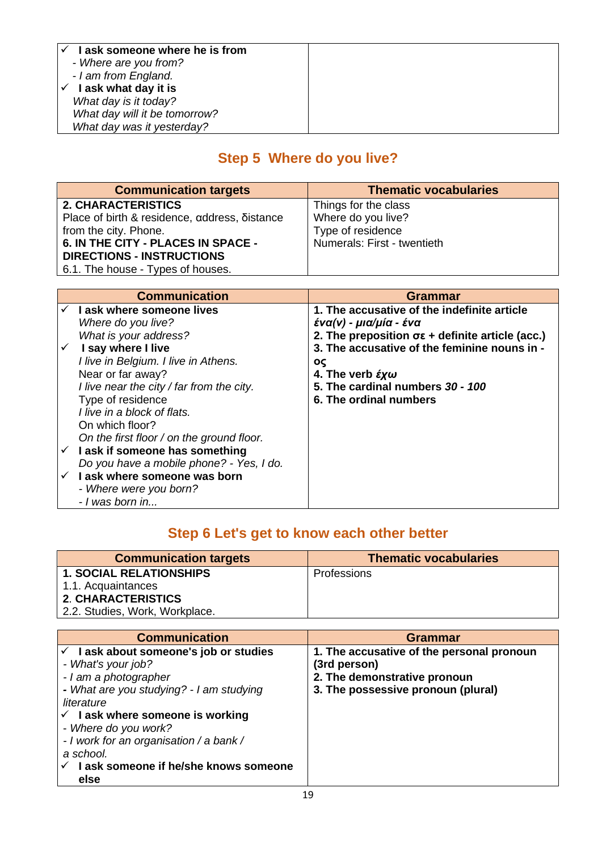| I ask someone where he is from |  |
|--------------------------------|--|
| - Where are you from?          |  |
| - I am from England.           |  |
| I ask what day it is           |  |
| What day is it today?          |  |
| What day will it be tomorrow?  |  |
| What day was it yesterday?     |  |

### **Step 5 Where do you live?**

| <b>Communication targets</b>                  | <b>Thematic vocabularies</b> |
|-----------------------------------------------|------------------------------|
| <b>2. CHARACTERISTICS</b>                     | Things for the class         |
| Place of birth & residence, address, Sistance | Where do you live?           |
| from the city. Phone.                         | Type of residence            |
| 6. IN THE CITY - PLACES IN SPACE -            | Numerals: First - twentieth  |
| <b>DIRECTIONS - INSTRUCTIONS</b>              |                              |
| 6.1. The house - Types of houses.             |                              |

| <b>Communication</b>                       | <b>Grammar</b>                                                 |
|--------------------------------------------|----------------------------------------------------------------|
| $\checkmark$ Lask where someone lives      | 1. The accusative of the indefinite article                    |
| Where do you live?                         | ένα(ν) - μια/μία - ένα                                         |
| What is your address?                      | 2. The preposition $\sigma \epsilon$ + definite article (acc.) |
| I say where I live                         | 3. The accusative of the feminine nouns in -                   |
| I live in Belgium. I live in Athens.       | ος                                                             |
| Near or far away?                          | 4. The verb $\mathcal{E} \mathbf{y} \boldsymbol{\omega}$       |
| I live near the city / far from the city.  | 5. The cardinal numbers 30 - 100                               |
| Type of residence                          | 6. The ordinal numbers                                         |
| I live in a block of flats.                |                                                                |
| On which floor?                            |                                                                |
| On the first floor / on the ground floor.  |                                                                |
| $\checkmark$ lask if someone has something |                                                                |
| Do you have a mobile phone? - Yes, I do.   |                                                                |
| $\checkmark$ lask where someone was born   |                                                                |
| - Where were you born?                     |                                                                |
| - I was born in                            |                                                                |

### **Step 6 Let's get to know each other better**

| <b>Communication targets</b>   | <b>Thematic vocabularies</b> |
|--------------------------------|------------------------------|
| <b>1. SOCIAL RELATIONSHIPS</b> | <b>Professions</b>           |
| 1.1. Acquaintances             |                              |
| <b>2. CHARACTERISTICS</b>      |                              |
| 2.2. Studies, Work, Workplace. |                              |

| <b>Communication</b>                             | <b>Grammar</b>                            |
|--------------------------------------------------|-------------------------------------------|
| $\checkmark$ lask about someone's job or studies | 1. The accusative of the personal pronoun |
| - What's your job?                               | (3rd person)                              |
| - I am a photographer                            | 2. The demonstrative pronoun              |
| - What are you studying? - I am studying         | 3. The possessive pronoun (plural)        |
| literature                                       |                                           |
| $\checkmark$ lask where someone is working       |                                           |
| - Where do you work?                             |                                           |
| - I work for an organisation / a bank /          |                                           |
| a school.                                        |                                           |
| I ask someone if he/she knows someone            |                                           |
| else                                             |                                           |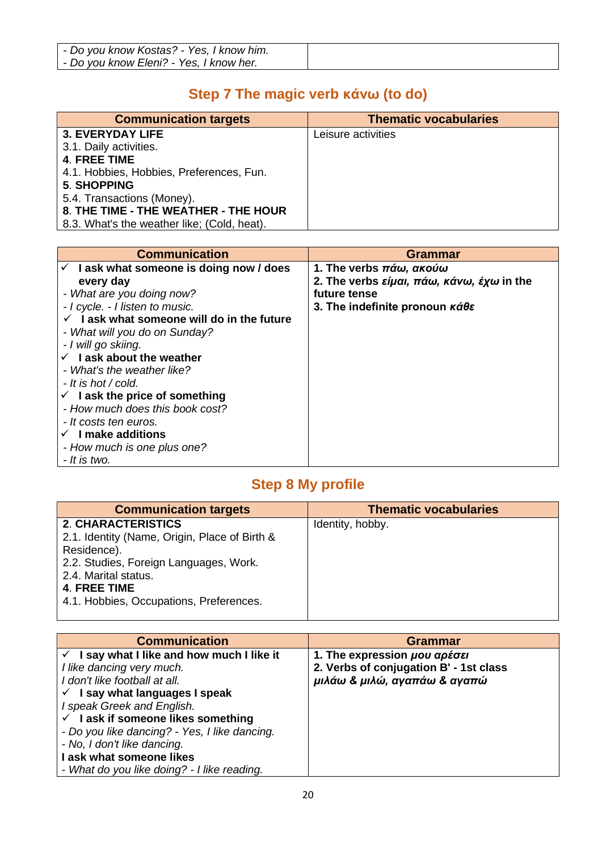| - Do you know Kostas? - Yes, I know him. |  |
|------------------------------------------|--|
| - Do you know Eleni? - Yes, I know her.  |  |

### **Step 7 The magic verb κάνω (to do)**

| <b>Communication targets</b>                | <b>Thematic vocabularies</b> |
|---------------------------------------------|------------------------------|
| <b>3. EVERYDAY LIFE</b>                     | Leisure activities           |
| 3.1. Daily activities.                      |                              |
| 4. FREE TIME                                |                              |
| 4.1. Hobbies, Hobbies, Preferences, Fun.    |                              |
| <b>5. SHOPPING</b>                          |                              |
| 5.4. Transactions (Money).                  |                              |
| 8. THE TIME - THE WEATHER - THE HOUR        |                              |
| 8.3. What's the weather like; (Cold, heat). |                              |

| <b>Communication</b>                               | Grammar                                                                    |
|----------------------------------------------------|----------------------------------------------------------------------------|
| $\checkmark$ lask what someone is doing now / does | 1. The verbs πάω, ακούω                                                    |
| every day                                          | 2. The verbs είμαι, πάω, κάνω, έχω in the                                  |
| - What are you doing now?                          | future tense                                                               |
| - I cycle. - I listen to music.                    | 3. The indefinite pronoun $\kappa \acute{\alpha} \theta \dot{\varepsilon}$ |
| I ask what someone will do in the future           |                                                                            |
| - What will you do on Sunday?                      |                                                                            |
| - I will go skiing.                                |                                                                            |
| $\checkmark$ lask about the weather                |                                                                            |
| - What's the weather like?                         |                                                                            |
| - It is hot / cold.                                |                                                                            |
| $\checkmark$ lask the price of something           |                                                                            |
| - How much does this book cost?                    |                                                                            |
| - It costs ten euros.                              |                                                                            |
| $\checkmark$ I make additions                      |                                                                            |
| - How much is one plus one?                        |                                                                            |
| - It is two.                                       |                                                                            |

### **Step 8 My profile**

| <b>Communication targets</b>                                                                                                                                                                                           | <b>Thematic vocabularies</b> |
|------------------------------------------------------------------------------------------------------------------------------------------------------------------------------------------------------------------------|------------------------------|
| <b>2. CHARACTERISTICS</b><br>2.1. Identity (Name, Origin, Place of Birth &<br>Residence).<br>2.2. Studies, Foreign Languages, Work.<br>2.4. Marital status.<br>4. FREE TIME<br>4.1. Hobbies, Occupations, Preferences. | Identity, hobby.             |

| <b>Communication</b>                                  | Grammar                                |
|-------------------------------------------------------|----------------------------------------|
| $\checkmark$ I say what I like and how much I like it | 1. The expression μου αρέσει           |
| I like dancing very much.                             | 2. Verbs of conjugation B' - 1st class |
| I don't like football at all.                         | μιλάω & μιλώ, αγαπάω & αγαπώ           |
| $\checkmark$ I say what languages I speak             |                                        |
| I speak Greek and English.                            |                                        |
| $\checkmark$ lask if someone likes something          |                                        |
| - Do you like dancing? - Yes, I like dancing.         |                                        |
| - No, I don't like dancing.                           |                                        |
| I ask what someone likes                              |                                        |
| - What do you like doing? - I like reading.           |                                        |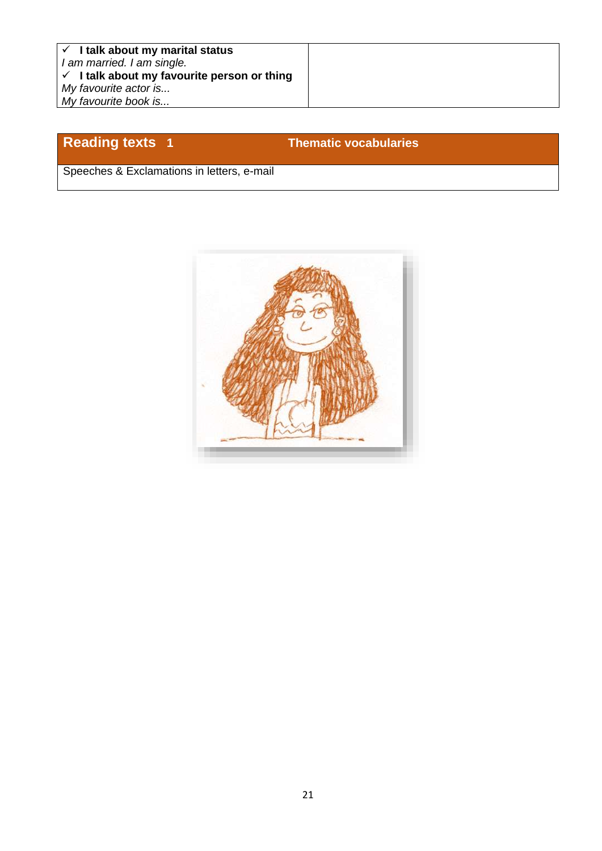### **Reading texts 1 Thematic vocabularies**

Speeches & Exclamations in letters, e-mail

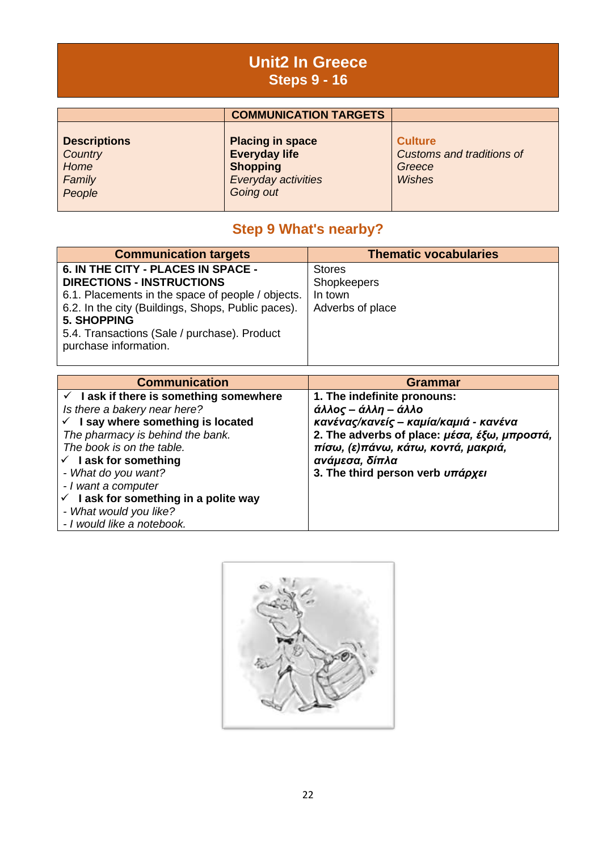### **Unit2 In Greece Steps 9 - 16**

|                                                            | <b>COMMUNICATION TARGETS</b>                                                                           |                                                                        |
|------------------------------------------------------------|--------------------------------------------------------------------------------------------------------|------------------------------------------------------------------------|
| <b>Descriptions</b><br>Country<br>Home<br>Family<br>People | <b>Placing in space</b><br><b>Everyday life</b><br><b>Shopping</b><br>Everyday activities<br>Going out | <b>Culture</b><br>Customs and traditions of<br>Greece<br><b>Wishes</b> |

### **Step 9 What's nearby?**

| <b>Communication targets</b>                       | <b>Thematic vocabularies</b> |
|----------------------------------------------------|------------------------------|
| 6. IN THE CITY - PLACES IN SPACE -                 | <b>Stores</b>                |
| <b>DIRECTIONS - INSTRUCTIONS</b>                   | Shopkeepers                  |
| 6.1. Placements in the space of people / objects.  | In town                      |
| 6.2. In the city (Buildings, Shops, Public paces). | Adverbs of place             |
| <b>5. SHOPPING</b>                                 |                              |
| 5.4. Transactions (Sale / purchase). Product       |                              |
| purchase information.                              |                              |
|                                                    |                              |

| <b>Communication</b>                                                                                                                                                                                                                                                                                                                                                                            | <b>Grammar</b>                                                                                                                                                                                                                           |
|-------------------------------------------------------------------------------------------------------------------------------------------------------------------------------------------------------------------------------------------------------------------------------------------------------------------------------------------------------------------------------------------------|------------------------------------------------------------------------------------------------------------------------------------------------------------------------------------------------------------------------------------------|
| $\checkmark$ lask if there is something somewhere<br>Is there a bakery near here?<br>$\checkmark$ I say where something is located<br>The pharmacy is behind the bank.<br>The book is on the table.<br>$\checkmark$ lask for something<br>- What do you want?<br>- I want a computer<br>$\checkmark$ lask for something in a polite way<br>- What would you like?<br>- I would like a notebook. | 1. The indefinite pronouns:<br>άλλος – άλλη – άλλο<br>κανένας/κανείς – καμία/καμιά - κανένα<br>2. The adverbs of place: μέσα, έξω, μπροστά,<br>πίσω, (ε)πάνω, κάτω, κοντά, μακριά,<br>ανάμεσα, δίπλα<br>3. The third person verb υπάρχει |

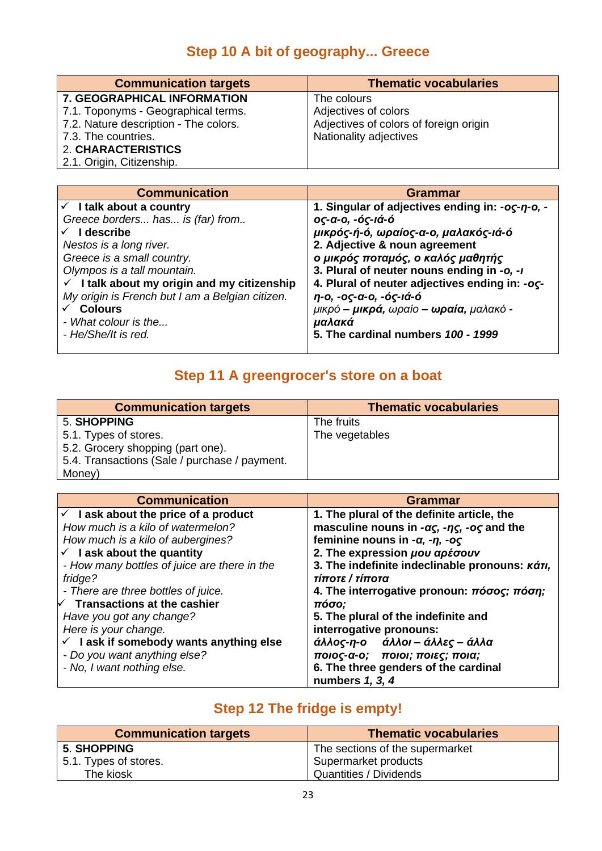### **Step 10 A bit of geography... Greece**

| <b>Communication targets</b>          | <b>Thematic vocabularies</b>           |
|---------------------------------------|----------------------------------------|
| 7. GEOGRAPHICAL INFORMATION           | The colours                            |
| 7.1. Toponyms - Geographical terms.   | Adjectives of colors                   |
| 7.2. Nature description - The colors. | Adjectives of colors of foreign origin |
| 7.3. The countries.                   | Nationality adjectives                 |
| 2. CHARACTERISTICS                    |                                        |
| 2.1. Origin, Citizenship.             |                                        |

| <b>Communication</b>                                   | Grammar                                              |
|--------------------------------------------------------|------------------------------------------------------|
| $\checkmark$ I talk about a country                    | 1. Singular of adjectives ending in: -oc-n-o, -      |
| Greece borders has is (far) from                       | ος-α-ο, -ός-ιά-ό                                     |
| I describe                                             | μικρός-ή-ό, ωραίος-α-ο, μαλακός-ιά-ό                 |
| Nestos is a long river.                                | 2. Adjective & noun agreement                        |
| Greece is a small country.                             | ο μικρός ποταμός, ο καλός μαθητής                    |
| Olympos is a tall mountain.                            | 3. Plural of neuter nouns ending in -o, -I           |
| $\checkmark$ I talk about my origin and my citizenship | 4. Plural of neuter adjectives ending in: - oc-      |
| My origin is French but I am a Belgian citizen.        | η-ο, -ος-α-ο, -ός-ιά-ό                               |
| <b>Colours</b>                                         | μικρό – <b>μικρά,</b> ωραίο – <b>ωραία,</b> μαλακό - |
| - What colour is the                                   | μαλακά                                               |
| - He/She/It is red.                                    | 5. The cardinal numbers 100 - 1999                   |

### **Step 11 A greengrocer's store on a boat**

| <b>Communication targets</b>                  | <b>Thematic vocabularies</b> |
|-----------------------------------------------|------------------------------|
| 5. SHOPPING                                   | The fruits                   |
| 5.1. Types of stores.                         | The vegetables               |
| 5.2. Grocery shopping (part one).             |                              |
| 5.4. Transactions (Sale / purchase / payment. |                              |
| Money)                                        |                              |

| <b>Communication</b>                              | <b>Grammar</b>                                                                           |
|---------------------------------------------------|------------------------------------------------------------------------------------------|
| $\checkmark$ lask about the price of a product    | 1. The plural of the definite article, the                                               |
| How much is a kilo of watermelon?                 | masculine nouns in - $\alpha\varsigma$ , - $\eta\varsigma$ , - $\alpha\varsigma$ and the |
| How much is a kilo of aubergines?                 | feminine nouns in $-a$ , $-n$ , $-o\varsigma$                                            |
| $\checkmark$ lask about the quantity              | 2. The expression µou apέσουν                                                            |
| - How many bottles of juice are there in the      | 3. The indefinite indeclinable pronouns: $\kappa \acute{\alpha} \tau_l$ ,                |
| fridge?                                           | τίποτε / τίποτα                                                                          |
| - There are three bottles of juice.               | 4. The interrogative pronoun: $\pi\acute{o}\sigma$ oc; $\pi\acute{o}\sigma\eta$ ;        |
| $\forall$ Transactions at the cashier             | πόσο;                                                                                    |
| Have you got any change?                          | 5. The plural of the indefinite and                                                      |
| Here is your change.                              | interrogative pronouns:                                                                  |
| $\checkmark$ lask if somebody wants anything else | άλλος-η-ο άλλοι – άλλες – άλλα                                                           |
| - Do you want anything else?                      | ποιος-α-ο; ποιοι; ποιες; ποια;                                                           |
| - No, I want nothing else.                        | 6. The three genders of the cardinal                                                     |
|                                                   | numbers 1, 3, 4                                                                          |

### **Step 12 The fridge is empty!**

| <b>Communication targets</b> | <b>Thematic vocabularies</b>    |
|------------------------------|---------------------------------|
| <b>5. SHOPPING</b>           | The sections of the supermarket |
| 5.1. Types of stores.        | Supermarket products            |
| The kiosk                    | Quantities / Dividends          |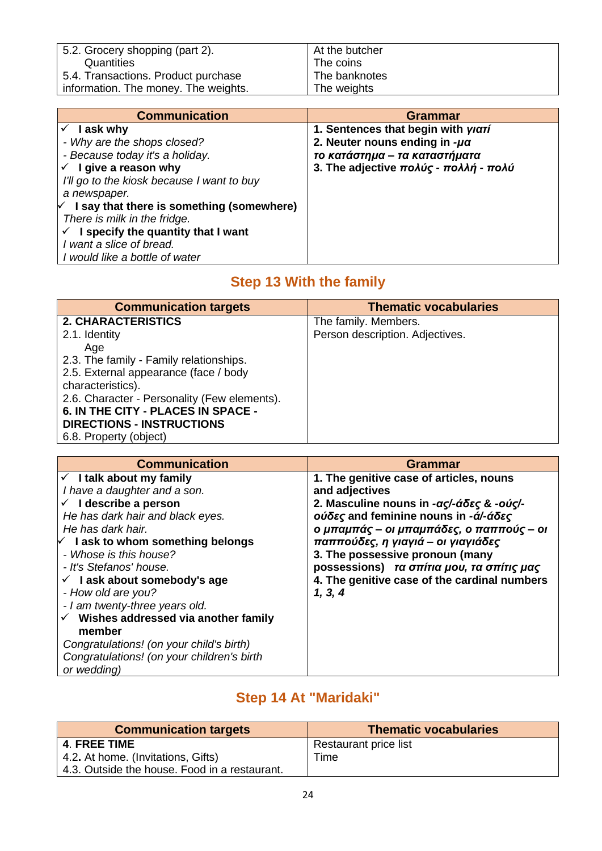| 5.2. Grocery shopping (part 2).      | At the butcher |
|--------------------------------------|----------------|
| Quantities                           | The coins      |
| 5.4. Transactions. Product purchase  | The banknotes  |
| information. The money. The weights. | The weights    |

| <b>Communication</b>                             | Grammar                                              |
|--------------------------------------------------|------------------------------------------------------|
| I ask why                                        | 1. Sentences that begin with yiari                   |
| - Why are the shops closed?                      | 2. Neuter nouns ending in $-\mu\alpha$               |
| - Because today it's a holiday.                  | το κατάστημα – τα καταστήματα                        |
| $\checkmark$ I give a reason why                 | 3. The adjective $\pi$ oλύς - $\pi$ oλλή - $\pi$ oλύ |
| I'll go to the kiosk because I want to buy       |                                                      |
| a newspaper.                                     |                                                      |
| $\vee$ I say that there is something (somewhere) |                                                      |
| There is milk in the fridge.                     |                                                      |
| $\checkmark$ I specify the quantity that I want  |                                                      |
| I want a slice of bread.                         |                                                      |
| I would like a bottle of water                   |                                                      |

### **Step 13 With the family**

| <b>Communication targets</b>                 | <b>Thematic vocabularies</b>    |
|----------------------------------------------|---------------------------------|
| 2. CHARACTERISTICS                           | The family. Members.            |
| 2.1. Identity                                | Person description. Adjectives. |
| Age                                          |                                 |
| 2.3. The family - Family relationships.      |                                 |
| 2.5. External appearance (face / body        |                                 |
| characteristics).                            |                                 |
| 2.6. Character - Personality (Few elements). |                                 |
| 6. IN THE CITY - PLACES IN SPACE -           |                                 |
| <b>DIRECTIONS - INSTRUCTIONS</b>             |                                 |
| 6.8. Property (object)                       |                                 |

| <b>Communication</b>                             | Grammar                                      |
|--------------------------------------------------|----------------------------------------------|
| $\checkmark$ I talk about my family              | 1. The genitive case of articles, nouns      |
| I have a daughter and a son.                     | and adjectives                               |
| $\checkmark$ I describe a person                 | 2. Masculine nouns in -ας/-άδες & -ούς/-     |
| He has dark hair and black eyes.                 | ούδες and feminine nouns in -ά/-άδες         |
| He has dark hair.                                | ο μπαμπάς - οι μπαμπάδες, ο παππούς - οι     |
| $\vee$ I ask to whom something belongs           | παππούδες, η γιαγιά – οι γιαγιάδες           |
| - Whose is this house?                           | 3. The possessive pronoun (many              |
| - It's Stefanos' house.                          | possessions) τα σπίτια μου, τα σπίτις μας    |
| $\checkmark$ lask about somebody's age           | 4. The genitive case of the cardinal numbers |
| - How old are you?                               | 1, 3, 4                                      |
| - I am twenty-three years old.                   |                                              |
| $\checkmark$ Wishes addressed via another family |                                              |
| member                                           |                                              |
| Congratulations! (on your child's birth)         |                                              |
| Congratulations! (on your children's birth       |                                              |
| or wedding)                                      |                                              |

### **Step 14 At "Maridaki"**

| <b>Communication targets</b>                  | <b>Thematic vocabularies</b> |
|-----------------------------------------------|------------------------------|
| <b>4. FREE TIME</b>                           | Restaurant price list        |
| 4.2. At home. (Invitations, Gifts)            | Time                         |
| 4.3. Outside the house. Food in a restaurant. |                              |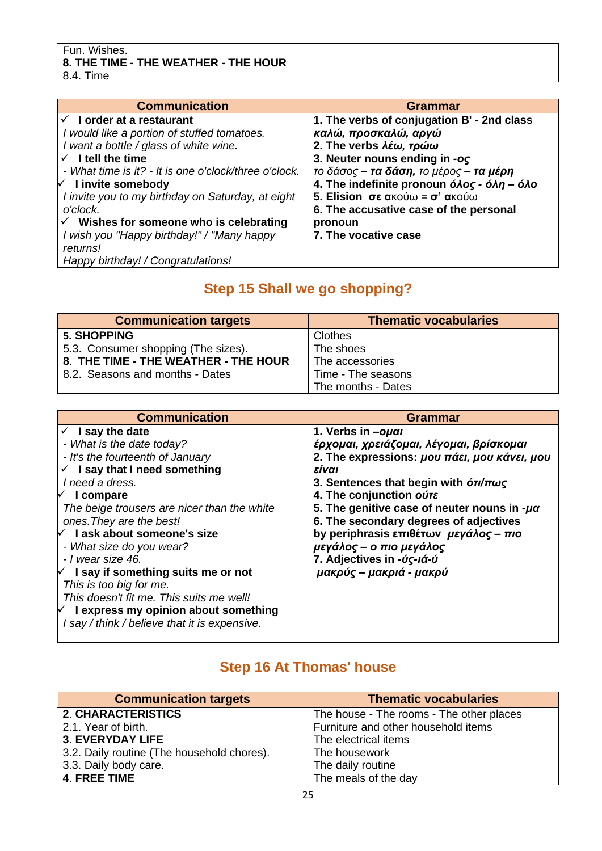| Fun. Wishes.<br>$\mid$ 8. THE TIME - THE WEATHER - THE HOUR<br>8.4.<br>⊤Time |  |
|------------------------------------------------------------------------------|--|
|                                                                              |  |

| <b>Communication</b>                                  | Grammar                                                                                                |
|-------------------------------------------------------|--------------------------------------------------------------------------------------------------------|
| I order at a restaurant                               | 1. The verbs of conjugation B' - 2nd class                                                             |
| I would like a portion of stuffed tomatoes.           | καλώ, προσκαλώ, αργώ                                                                                   |
| I want a bottle / glass of white wine.                | 2. The verbs λέω, τρώω                                                                                 |
| $\checkmark$ I tell the time                          | 3. Neuter nouns ending in -oc                                                                          |
| - What time is it? - It is one o'clock/three o'clock. | το δάσος – <b>τα δάση,</b> το μέρος – <b>τα μέρη</b>                                                   |
| $\sqrt{ }$ I invite somebody                          | 4. The indefinite pronoun $\acute{o}$ <i>Aoc - <math>\acute{o}</math>An - <math>\acute{o}</math>Ao</i> |
| I invite you to my birthday on Saturday, at eight     | <b>5. Elision σε ακούω = σ' ακούω</b>                                                                  |
| o'clock.                                              | 6. The accusative case of the personal                                                                 |
| $\checkmark$ Wishes for someone who is celebrating    | pronoun                                                                                                |
| I wish you "Happy birthday!" / "Many happy            | 7. The vocative case                                                                                   |
| returns!                                              |                                                                                                        |
| Happy birthday! / Congratulations!                    |                                                                                                        |

### **Step 15 Shall we go shopping?**

| <b>Communication targets</b>         | <b>Thematic vocabularies</b> |
|--------------------------------------|------------------------------|
| <b>5. SHOPPING</b>                   | Clothes                      |
| 5.3. Consumer shopping (The sizes).  | The shoes                    |
| 8. THE TIME - THE WEATHER - THE HOUR | The accessories              |
| 8.2. Seasons and months - Dates      | Time - The seasons           |
|                                      | The months - Dates           |

| <b>Communication</b>                          | Grammar                                                            |
|-----------------------------------------------|--------------------------------------------------------------------|
| $\checkmark$ I say the date                   | 1. Verbs in -oual                                                  |
| - What is the date today?                     | έρχομαι, χρειάζομαι, λέγομαι, βρίσκομαι                            |
| - It's the fourteenth of January              | 2. The expressions: μου πάει, μου κάνει, μου                       |
| $\checkmark$ I say that I need something      | είναι                                                              |
| I need a dress.                               | 3. Sentences that begin with $\frac{\partial \eta}{\partial \eta}$ |
| $\vee$ I compare                              | 4. The conjunction ours                                            |
| The beige trousers are nicer than the white   | 5. The genitive case of neuter nouns in $-\mu\alpha$               |
| ones. They are the best!                      | 6. The secondary degrees of adjectives                             |
| I ask about someone's size<br>✓               | by periphrasis επιθέτων μεγάλος - πιο                              |
| - What size do you wear?                      | μεγάλος – ο πιο μεγάλος                                            |
| - I wear size 46.                             | 7. Adjectives in -úς-ιά-ú                                          |
| $\forall$ I say if something suits me or not  | μακρύς – μακριά - μακρύ                                            |
| This is too big for me.                       |                                                                    |
| This doesn't fit me. This suits me well!      |                                                                    |
| $\vee$ I express my opinion about something   |                                                                    |
| I say / think / believe that it is expensive. |                                                                    |
|                                               |                                                                    |

### **Step 16 At Thomas' house**

| <b>Communication targets</b>               | <b>Thematic vocabularies</b>             |
|--------------------------------------------|------------------------------------------|
| <b>2. CHARACTERISTICS</b>                  | The house - The rooms - The other places |
| 2.1. Year of birth.                        | Furniture and other household items      |
| <b>3. EVERYDAY LIFE</b>                    | The electrical items                     |
| 3.2. Daily routine (The household chores). | The housework                            |
| 3.3. Daily body care.                      | The daily routine                        |
| <b>4. FREE TIME</b>                        | The meals of the day                     |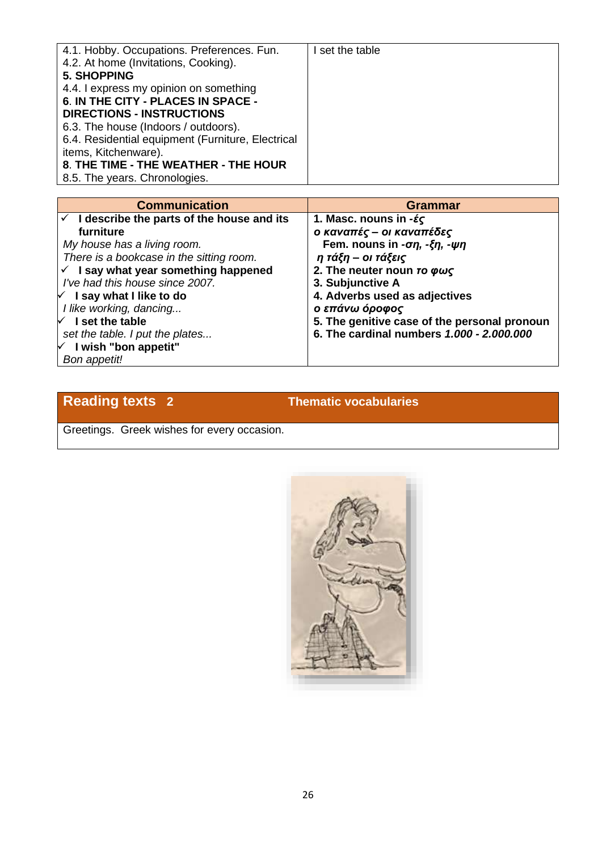| 4.1. Hobby. Occupations. Preferences. Fun.<br>4.2. At home (Invitations, Cooking). | I set the table |
|------------------------------------------------------------------------------------|-----------------|
|                                                                                    |                 |
| <b>5. SHOPPING</b>                                                                 |                 |
| 4.4. I express my opinion on something                                             |                 |
| 6. IN THE CITY - PLACES IN SPACE -                                                 |                 |
| <b>DIRECTIONS - INSTRUCTIONS</b>                                                   |                 |
| 6.3. The house (Indoors / outdoors).                                               |                 |
| 6.4. Residential equipment (Furniture, Electrical                                  |                 |
| items, Kitchenware).                                                               |                 |
| 8. THE TIME - THE WEATHER - THE HOUR                                               |                 |
| 8.5. The years. Chronologies.                                                      |                 |

| <b>Communication</b>                            | <b>Grammar</b>                                            |
|-------------------------------------------------|-----------------------------------------------------------|
| I describe the parts of the house and its       | 1. Masc. nouns in $-\xi\zeta$                             |
| furniture                                       | ο καναπές – οι καναπέδες                                  |
| My house has a living room.                     | Fem. nouns in - $\sigma\eta$ , - $\xi\eta$ , - $\psi\eta$ |
| There is a bookcase in the sitting room.        | η τάξη – οι τάξεις                                        |
| $\checkmark$ I say what year something happened | 2. The neuter noun TO $\phi\omega\zeta$                   |
| I've had this house since 2007.                 | 3. Subjunctive A                                          |
| $\forall$ I say what I like to do               | 4. Adverbs used as adjectives                             |
| I like working, dancing                         | ο επάνω όροφος                                            |
| $\sqrt{ }$ I set the table                      | 5. The genitive case of the personal pronoun              |
| set the table. I put the plates                 | 6. The cardinal numbers 1.000 - 2.000.000                 |
| $\forall$ I wish "bon appetit"                  |                                                           |
| Bon appetit!                                    |                                                           |

### **Reading texts 2 Thematic vocabularies**

Greetings. Greek wishes for every occasion.

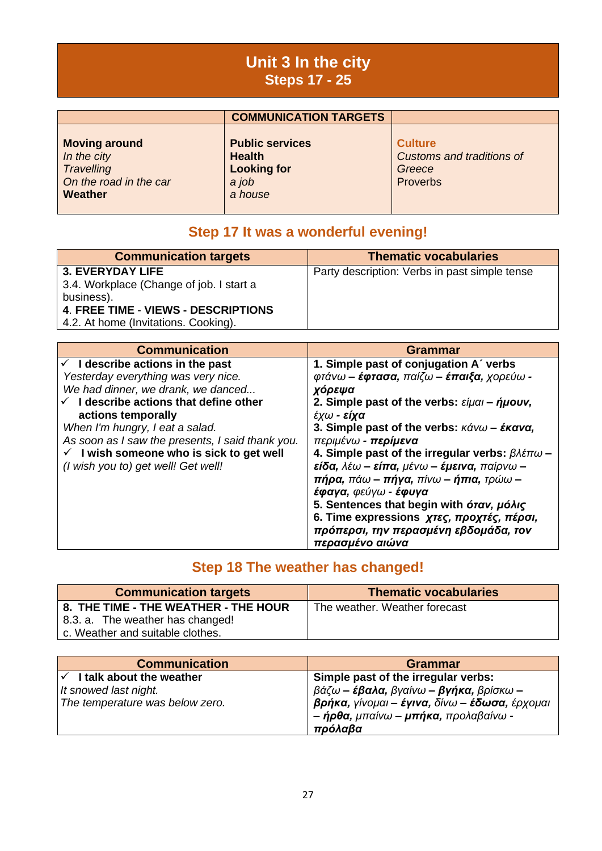### **Unit 3 In the city Steps 17 - 25**

|                                                                                        | <b>COMMUNICATION TARGETS</b>                                                      |                                                                                 |
|----------------------------------------------------------------------------------------|-----------------------------------------------------------------------------------|---------------------------------------------------------------------------------|
| <b>Moving around</b><br>In the city<br>Travelling<br>On the road in the car<br>Weather | <b>Public services</b><br><b>Health</b><br><b>Looking for</b><br>a job<br>a house | <b>Culture</b><br><b>Customs and traditions of</b><br>Greece<br><b>Proverbs</b> |

### **Step 17 It was a wonderful evening!**

| <b>Communication targets</b>                                                                                                                                            | <b>Thematic vocabularies</b>                  |
|-------------------------------------------------------------------------------------------------------------------------------------------------------------------------|-----------------------------------------------|
| <b>3. EVERYDAY LIFE</b><br>3.4. Workplace (Change of job. I start a<br>business).<br><b>4. FREE TIME - VIEWS - DESCRIPTIONS</b><br>4.2. At home (Invitations. Cooking). | Party description: Verbs in past simple tense |

| <b>Communication</b>                                | <b>Grammar</b>                                                                                            |
|-----------------------------------------------------|-----------------------------------------------------------------------------------------------------------|
| $\checkmark$ I describe actions in the past         | 1. Simple past of conjugation A' verbs                                                                    |
| Yesterday everything was very nice.                 | $\varphi$ τάνω – έφτασα, παίζω – έπαιξα, χορεύω -                                                         |
| We had dinner, we drank, we danced                  | χόρεψα                                                                                                    |
| $\checkmark$ I describe actions that define other   | 2. Simple past of the verbs: $\epsilon$ iµai – ήµouv,                                                     |
| actions temporally                                  | έχω - <b>είχα</b>                                                                                         |
| When I'm hungry, I eat a salad.                     | 3. Simple past of the verbs: $\kappa \acute{\alpha} v \omega - \acute{\epsilon} \kappa \alpha v \alpha$ , |
| As soon as I saw the presents, I said thank you.    | περιμένω - περίμενα                                                                                       |
| $\checkmark$ I wish someone who is sick to get well | 4. Simple past of the irregular verbs: $\beta \lambda \epsilon \pi \omega$ –                              |
| (I wish you to) get well! Get well!                 | $\epsilon$ ίδα, λέω – είπα, μένω – έμεινα, παίρνω –                                                       |
|                                                     | $πήρα$ , πάω – πήγα, πίνω – ήπια, τρώω –                                                                  |
|                                                     | έφαγα, φεύγω - έφυγα                                                                                      |
|                                                     | 5. Sentences that begin with <i>órav</i> , <i>µóλiς</i>                                                   |
|                                                     | 6. Time expressions χτες, προχτές, πέρσι,                                                                 |
|                                                     | πρόπερσι, την περασμένη εβδομάδα, τον                                                                     |
|                                                     | περασμένο αιώνα                                                                                           |

### **Step 18 The weather has changed!**

| <b>Communication targets</b>         | <b>Thematic vocabularies</b>  |
|--------------------------------------|-------------------------------|
| 8. THE TIME - THE WEATHER - THE HOUR | The weather. Weather forecast |
| 8.3. a. The weather has changed!     |                               |
| c. Weather and suitable clothes.     |                               |

| <b>Communication</b>                  | Grammar                                                                                          |
|---------------------------------------|--------------------------------------------------------------------------------------------------|
| $\checkmark$ I talk about the weather | Simple past of the irregular verbs:                                                              |
| It snowed last night.                 | $\beta$ άζω – έβαλα, βγαίνω – βγήκα, βρίσκω –                                                    |
| The temperature was below zero.       | βρήκα, γίνομαι - έγινα, δίνω - έδωσα, έρχομαι<br>- ήρθα, μπαίνω - μπήκα, προλαβαίνω -<br>πρόλαβα |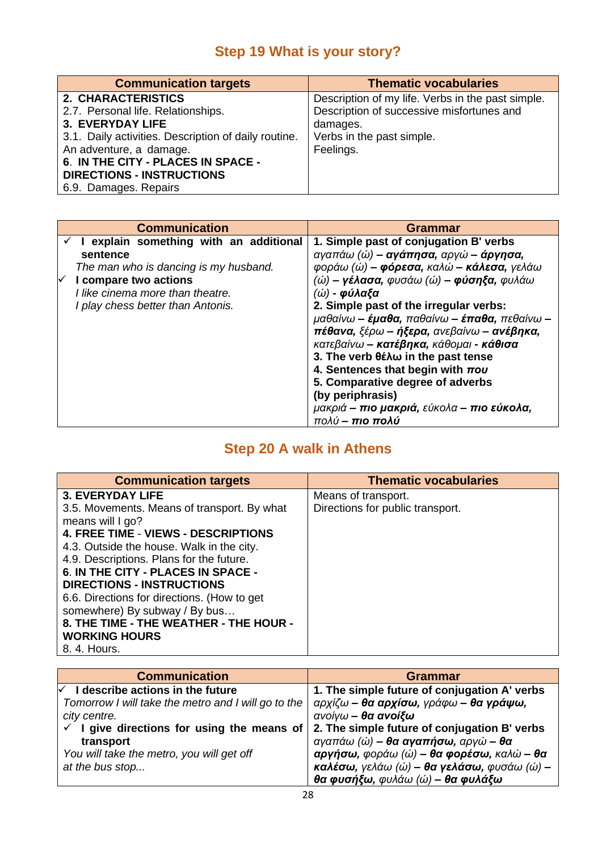### **Step 19 What is your story?**

| <b>Communication targets</b>                         | <b>Thematic vocabularies</b>                      |
|------------------------------------------------------|---------------------------------------------------|
| 2. CHARACTERISTICS                                   | Description of my life. Verbs in the past simple. |
| 2.7. Personal life. Relationships.                   | Description of successive misfortunes and         |
| <b>3. EVERYDAY LIFE</b>                              | damages.                                          |
| 3.1. Daily activities. Description of daily routine. | Verbs in the past simple.                         |
| An adventure, a damage.                              | Feelings.                                         |
| 6. IN THE CITY - PLACES IN SPACE -                   |                                                   |
| <b>DIRECTIONS - INSTRUCTIONS</b>                     |                                                   |
| 6.9. Damages. Repairs                                |                                                   |

| <b>Communication</b>                   | <b>Grammar</b>                                |
|----------------------------------------|-----------------------------------------------|
| I explain something with an additional | 1. Simple past of conjugation B' verbs        |
| sentence                               | αγαπάω (ώ) – αγάπησα, αργώ – άργησα,          |
| The man who is dancing is my husband.  | φοράω (ώ) - φόρεσα, καλώ - κάλεσα, γελάω      |
| I compare two actions                  | $($ ώ) – γέλασα, φυσάω $($ ώ) – φύσηξα, φυλάω |
| I like cinema more than theatre.       | $($ ώ) - φύλαξα                               |
| I play chess better than Antonis.      | 2. Simple past of the irregular verbs:        |
|                                        | μαθαίνω – έμαθα, παθαίνω – έπαθα, πεθαίνω –   |
|                                        | πέθανα, ξέρω – ήξερα, ανεβαίνω – ανέβηκα,     |
|                                        | κατεβαίνω - κατέβηκα, κάθομαι - κάθισα        |
|                                        | 3. The verb θέλω in the past tense            |
|                                        | 4. Sentences that begin with $\pi o\upsilon$  |
|                                        | 5. Comparative degree of adverbs              |
|                                        | (by periphrasis)                              |
|                                        | μακριά – πιο μακριά, εύκολα – πιο εύκολα,     |
|                                        | πολύ – πιο πολύ                               |

## **Step 20 A walk in Athens**

| <b>Communication targets</b>                | <b>Thematic vocabularies</b>     |
|---------------------------------------------|----------------------------------|
| <b>3. EVERYDAY LIFE</b>                     | Means of transport.              |
| 3.5. Movements. Means of transport. By what | Directions for public transport. |
| means will I go?                            |                                  |
| <b>4. FREE TIME - VIEWS - DESCRIPTIONS</b>  |                                  |
| 4.3. Outside the house. Walk in the city.   |                                  |
| 4.9. Descriptions. Plans for the future.    |                                  |
| 6. IN THE CITY - PLACES IN SPACE -          |                                  |
| <b>DIRECTIONS - INSTRUCTIONS</b>            |                                  |
| 6.6. Directions for directions. (How to get |                                  |
| somewhere) By subway / By bus               |                                  |
| 8. THE TIME - THE WEATHER - THE HOUR -      |                                  |
| <b>WORKING HOURS</b>                        |                                  |
| 8. 4. Hours.                                |                                  |

| <b>Communication</b>                                  | Grammar                                      |
|-------------------------------------------------------|----------------------------------------------|
| $\sqrt{ }$ I describe actions in the future           | 1. The simple future of conjugation A' verbs |
| Tomorrow I will take the metro and I will go to the   | αρχίζω – θα αρχίσω, γράφω – θα γράψω,        |
| city centre.                                          | ανοίγω – θα ανοίξω                           |
| $\checkmark$ I give directions for using the means of | 2. The simple future of conjugation B' verbs |
| transport                                             | αγαπάω (ώ) – θα αγαπήσω, αργώ – θα           |
| You will take the metro, you will get off             | αργήσω, φοράω (ώ) - θα φορέσω, καλώ - θα     |
| at the bus stop                                       | καλέσω, γελάω (ώ) - θα γελάσω, φυσάω (ώ) -   |
|                                                       | θα φυσήξω, φυλάω (ώ) – θα φυλάξω             |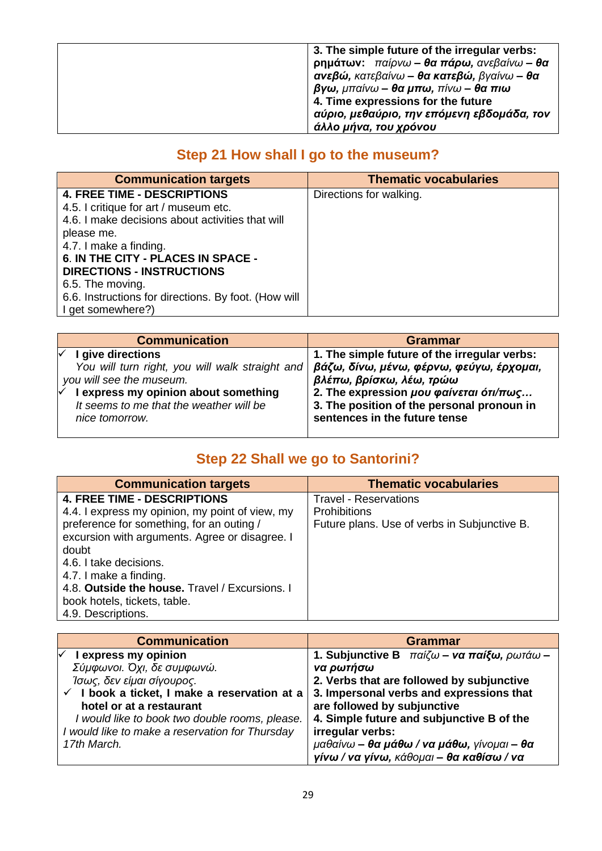| 3. The simple future of the irregular verbs:      |
|---------------------------------------------------|
| $\rho$ ημάτων: παίρνω – θα πάρω, ανεβαίνω – θα    |
| $\alpha$ νεβώ, κατεβαίνω – θα κατεβώ, βγαίνω – θα |
| $\beta$ γω, μπαίνω – θα μπω, πίνω – θα πιω        |
| 4. Time expressions for the future                |
| αύριο, μεθαύριο, την επόμενη εβδομάδα, τον        |
| άλλο μήνα, του χρόνου                             |

### **Step 21 How shall I go to the museum?**

| <b>Communication targets</b>                         | <b>Thematic vocabularies</b> |
|------------------------------------------------------|------------------------------|
| <b>4. FREE TIME - DESCRIPTIONS</b>                   | Directions for walking.      |
| 4.5. I critique for art / museum etc.                |                              |
| 4.6. I make decisions about activities that will     |                              |
| please me.                                           |                              |
| 4.7. I make a finding.                               |                              |
| 6. IN THE CITY - PLACES IN SPACE -                   |                              |
| <b>DIRECTIONS - INSTRUCTIONS</b>                     |                              |
| 6.5. The moving.                                     |                              |
| 6.6. Instructions for directions. By foot. (How will |                              |
| I get somewhere?)                                    |                              |

| <b>Communication</b>                            | <b>Grammar</b>                                       |
|-------------------------------------------------|------------------------------------------------------|
| I give directions                               | 1. The simple future of the irregular verbs:         |
| You will turn right, you will walk straight and | βάζω, δίνω, μένω, φέρνω, φεύγω, έρχομαι,             |
| you will see the museum.                        | βλέπω, βρίσκω, λέω, τρώω                             |
| I express my opinion about something            | 2. The expression $\mu$ ou $\varphi$ aívεται ότι/πως |
| It seems to me that the weather will be         | 3. The position of the personal pronoun in           |
| nice tomorrow.                                  | sentences in the future tense                        |
|                                                 |                                                      |

### **Step 22 Shall we go to Santorini?**

| <b>Communication targets</b>                    | <b>Thematic vocabularies</b>                 |
|-------------------------------------------------|----------------------------------------------|
| <b>4. FREE TIME - DESCRIPTIONS</b>              | <b>Travel - Reservations</b>                 |
| 4.4. I express my opinion, my point of view, my | <b>Prohibitions</b>                          |
| preference for something, for an outing /       | Future plans. Use of verbs in Subjunctive B. |
| excursion with arguments. Agree or disagree. I  |                                              |
| doubt                                           |                                              |
| 4.6. I take decisions.                          |                                              |
| 4.7. I make a finding.                          |                                              |
| 4.8. Outside the house. Travel / Excursions. I  |                                              |
| book hotels, tickets, table.                    |                                              |
| 4.9. Descriptions.                              |                                              |

| <b>Communication</b>                                    | Grammar                                        |
|---------------------------------------------------------|------------------------------------------------|
| I express my opinion                                    | 1. Subjunctive B $παiζω – να παίξω, ρωτάω –$   |
| Σύμφωνοι. Όχι, δε συμφωνώ.                              | να ρωτήσω                                      |
| Ίσως, δεν είμαι σίγουρος.                               | 2. Verbs that are followed by subjunctive      |
| $\checkmark$ I book a ticket, I make a reservation at a | 3. Impersonal verbs and expressions that       |
| hotel or at a restaurant                                | are followed by subjunctive                    |
| I would like to book two double rooms, please.          | 4. Simple future and subjunctive B of the      |
| I would like to make a reservation for Thursday         | irregular verbs:                               |
| 17th March.                                             | $\mu$ αθαίνω – θα μάθω / να μάθω, γίνομαι – θα |
|                                                         | γίνω / να γίνω, κάθομαι - θα καθίσω / να       |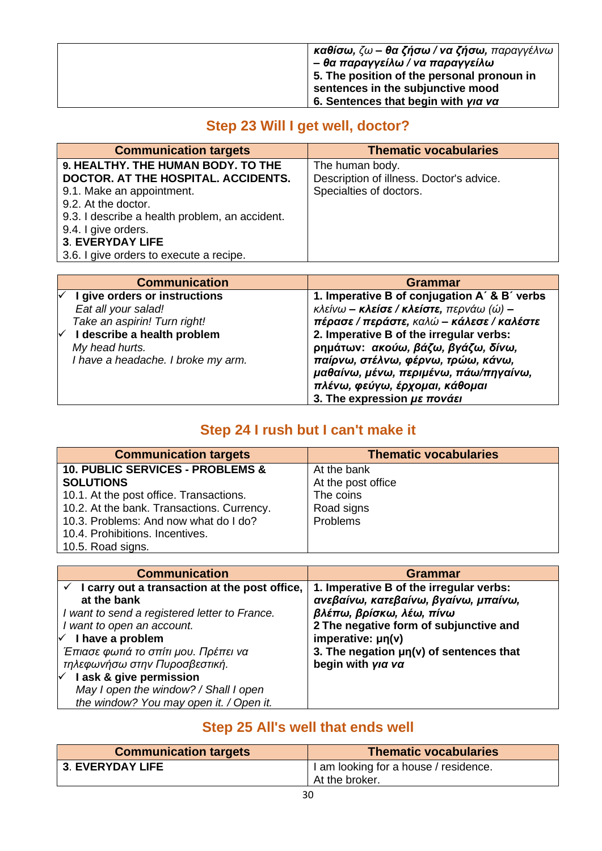| $\kappa$ αθίσω, ζω – θα ζήσω / να ζήσω, παραγγέλνω |
|----------------------------------------------------|
| ' – θα παραγγείλω / να παραγγείλω                  |
| 5. The position of the personal pronoun in         |
| sentences in the subjunctive mood                  |
| 6. Sentences that begin with yia va                |

### **Step 23 Will I get well, doctor?**

| <b>Communication targets</b>                   | <b>Thematic vocabularies</b>             |
|------------------------------------------------|------------------------------------------|
| 9. HEALTHY. THE HUMAN BODY. TO THE             | The human body.                          |
| DOCTOR. AT THE HOSPITAL. ACCIDENTS.            | Description of illness. Doctor's advice. |
| 9.1. Make an appointment.                      | Specialties of doctors.                  |
| 9.2. At the doctor.                            |                                          |
| 9.3. I describe a health problem, an accident. |                                          |
| 9.4. I give orders.                            |                                          |
| <b>3. EVERYDAY LIFE</b>                        |                                          |
| 3.6. I give orders to execute a recipe.        |                                          |

| <b>Communication</b>               | Grammar                                                      |
|------------------------------------|--------------------------------------------------------------|
| I give orders or instructions      | 1. Imperative B of conjugation A' & B' verbs                 |
| Eat all your salad!                | $\kappa\lambda$ είνω – <b>κλείσε / κλείστε,</b> περνάω (ώ) – |
| Take an aspirin! Turn right!       | πέρασε / περάστε, καλώ – κάλεσε / καλέστε                    |
| I describe a health problem        | 2. Imperative B of the irregular verbs:                      |
| My head hurts.                     | ρημάτων: ακούω, βάζω, βγάζω, δίνω,                           |
| I have a headache. I broke my arm. | παίρνω, στέλνω, φέρνω, τρώω, κάνω,                           |
|                                    | μαθαίνω, μένω, περιμένω, πάω/πηγαίνω,                        |
|                                    | πλένω, φεύγω, έρχομαι, κάθομαι                               |
|                                    | 3. The expression $\mu \varepsilon$ <i>πονάει</i>            |

### **Step 24 I rush but I can't make it**

| <b>Communication targets</b>                | <b>Thematic vocabularies</b> |
|---------------------------------------------|------------------------------|
| <b>10. PUBLIC SERVICES - PROBLEMS &amp;</b> | At the bank                  |
| <b>SOLUTIONS</b>                            | At the post office           |
| 10.1. At the post office. Transactions.     | The coins                    |
| 10.2. At the bank. Transactions. Currency.  | Road signs                   |
| 10.3. Problems: And now what do I do?       | Problems                     |
| 10.4. Prohibitions. Incentives.             |                              |
| 10.5. Road signs.                           |                              |

| <b>Communication</b>                                                                                                                                                                                               | <b>Grammar</b>                                                                                                                                        |
|--------------------------------------------------------------------------------------------------------------------------------------------------------------------------------------------------------------------|-------------------------------------------------------------------------------------------------------------------------------------------------------|
| I carry out a transaction at the post office,<br>at the bank<br>I want to send a registered letter to France.<br>I want to open an account.                                                                        | 1. Imperative B of the irregular verbs:<br>ανεβαίνω, κατεβαίνω, βγαίνω, μπαίνω,<br>βλέπω, βρίσκω, λέω, πίνω<br>2 The negative form of subjunctive and |
| I have a problem<br>✓<br>Έπιασε φωτιά το σπίτι μου. Πρέπει να<br>τηλεφωνήσω στην Πυροσβεστική.<br>I ask & give permission<br>∨<br>May I open the window? / Shall I open<br>the window? You may open it. / Open it. | imperative: $\mu$ n(v)<br>3. The negation $\mu$ n(v) of sentences that<br>begin with yia va                                                           |

### **Step 25 All's well that ends well**

| <b>Communication targets</b> | <b>Thematic vocabularies</b>            |
|------------------------------|-----------------------------------------|
| <b>3. EVERYDAY LIFE</b>      | I I am looking for a house / residence. |
|                              | At the broker.                          |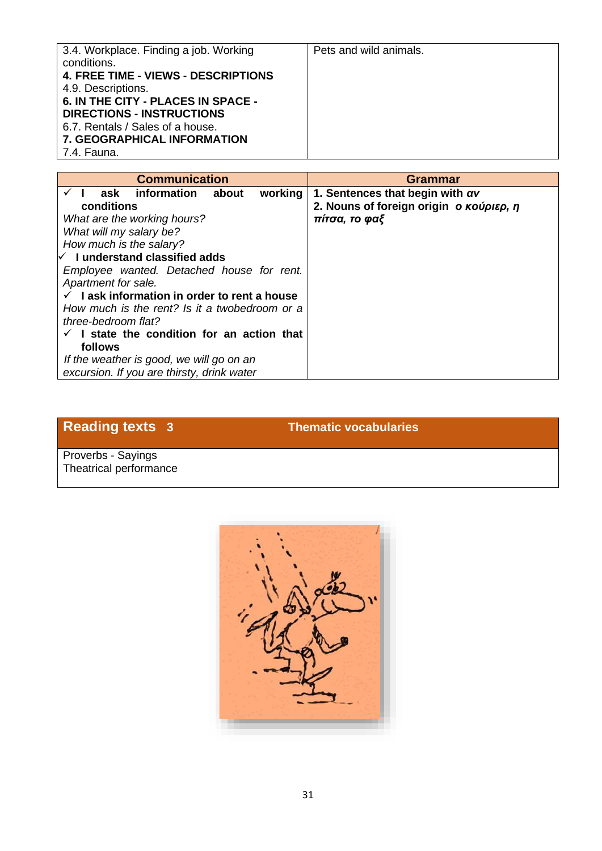| 3.4. Workplace. Finding a job. Working     | Pets and wild animals. |
|--------------------------------------------|------------------------|
|                                            |                        |
| conditions.                                |                        |
| <b>4. FREE TIME - VIEWS - DESCRIPTIONS</b> |                        |
| 4.9. Descriptions.                         |                        |
| 6. IN THE CITY - PLACES IN SPACE -         |                        |
| <b>DIRECTIONS - INSTRUCTIONS</b>           |                        |
| 6.7. Rentals / Sales of a house.           |                        |
| <b>7. GEOGRAPHICAL INFORMATION</b>         |                        |
| 7.4. Fauna.                                |                        |

| <b>Communication</b>                          | <b>Grammar</b>                          |
|-----------------------------------------------|-----------------------------------------|
| ask information about<br>working              | 1. Sentences that begin with $\alpha v$ |
| conditions                                    | 2. Nouns of foreign origin o κούριερ, η |
| What are the working hours?                   | πίτσα, το φαξ                           |
| What will my salary be?                       |                                         |
| How much is the salary?                       |                                         |
| $\forall$ I understand classified adds        |                                         |
| Employee wanted. Detached house for rent.     |                                         |
| Apartment for sale.                           |                                         |
| I ask information in order to rent a house    |                                         |
| How much is the rent? Is it a twobedroom or a |                                         |
| three-bedroom flat?                           |                                         |
| I state the condition for an action that      |                                         |
| follows                                       |                                         |
| If the weather is good, we will go on an      |                                         |
| excursion. If you are thirsty, drink water    |                                         |

### **Reading texts 3 Thematic vocabularies**

Proverbs - Sayings Theatrical performance

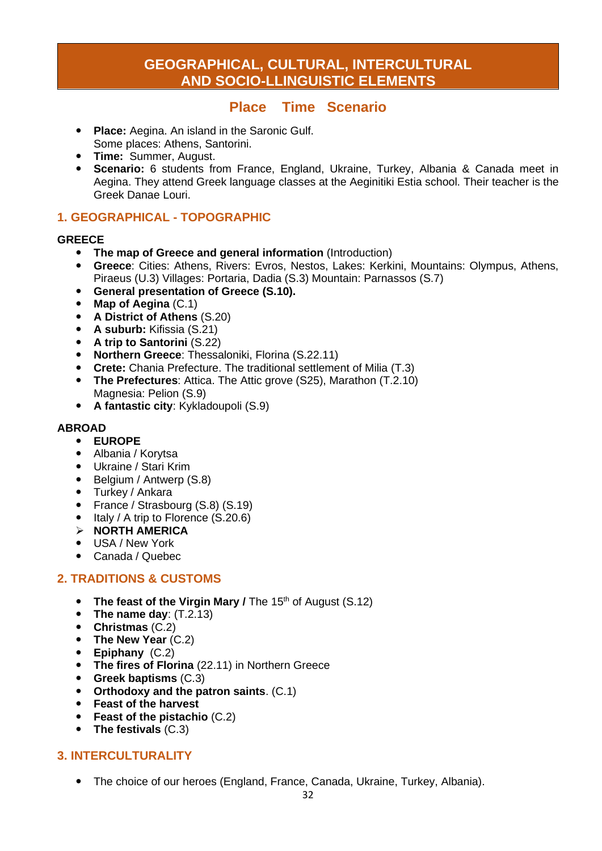### **GEOGRAPHICAL, CULTURAL, INTERCULTURAL AND SOCIO-LLINGUISTIC ELEMENTS**

#### **Place Time Scenario**

- **Place:** Aegina. An island in the Saronic Gulf. Some places: Athens, Santorini.
- **Time:** Summer, August.
- **Scenario:** 6 students from France, England, Ukraine, Turkey, Albania & Canada meet in Aegina. They attend Greek language classes at the Aeginitiki Estia school. Their teacher is the Greek Danae Louri.

#### **1. GEOGRAPHICAL - TOPOGRAPHIC**

#### **GREECE**

- **The map of Greece and general information (Introduction)**<br>**Creece:** Cities: Athens, Rivers: Eyros, Nestos, Lakes: Kerki
- **Greece**: Cities: Athens, Rivers: Evros, Nestos, Lakes: Kerkini, Mountains: Olympus, Athens, Piraeus (U.3) Villages: Portaria, Dadia (S.3) Mountain: Parnassos (S.7)
- **General presentation of Greece (S.10).**
- **Map of Aegina** (C.1)
- **A District of Athens** (S.20)
- **A suburb:** Kifissia (S.21)
- **A trip to Santorini** (S.22)
- **Northern Greece**: Thessaloniki, Florina (S.22.11)
- **Crete:** Chania Prefecture. The traditional settlement of Milia (T.3)
- **The Prefectures**: Attica. The Attic grove (S25), Marathon (T.2.10) Magnesia: Pelion (S.9)
- **A fantastic city**: Kykladoupoli (S.9)

#### **ABROAD**

- **EUROPE**
- Albania / Korytsa
- Ukraine / Stari Krim
- Belgium / Antwerp (S.8)
- Turkey / Ankara
- France / Strasbourg (S.8) (S.19)
- $\bullet$  Italy / A trip to Florence (S.20.6)
- ➢ **NORTH AMERICA**
- USA / New York
- Canada / Quebec

#### **2. TRADITIONS & CUSTOMS**

- The feast of the Virgin Mary / The 15<sup>th</sup> of August (S.12)
- **The name day**: (T.2.13)
- **Christmas** (C.2)
- **The New Year** (C.2)
- **Epiphany** (C.2)
- **The fires of Florina** (22.11) in Northern Greece
- **Greek baptisms** (C.3)
- **Orthodoxy and the patron saints**. (C.1)
- **Feast of the harvest**
- **Feast of the pistachio** (C.2)
- **The festivals** (C.3)

#### **3. INTERCULTURALITY**

The choice of our heroes (England, France, Canada, Ukraine, Turkey, Albania).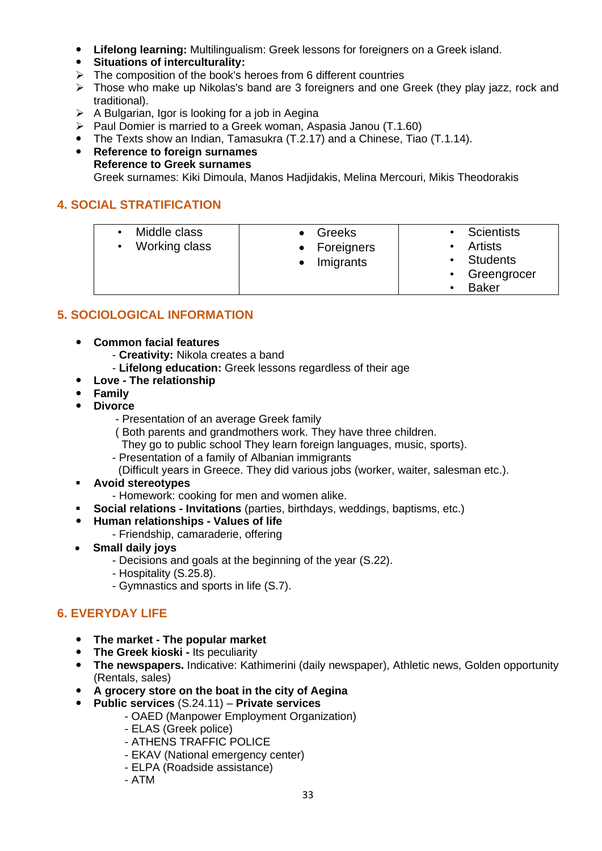- **Lifelong learning:** Multilingualism: Greek lessons for foreigners on a Greek island.
- **Situations of interculturality:**
- ➢ The composition of the book's heroes from 6 different countries
- ➢ Those who make up Nikolas's band are 3 foreigners and one Greek (they play jazz, rock and traditional).
- $\triangleright$  A Bulgarian, Igor is looking for a job in Aegina
- ➢ Paul Domier is married to a Greek woman, Aspasia Janou (T.1.60)
- The Texts show an Indian, Tamasukra (T.2.17) and a Chinese, Tiao (T.1.14).
- **Reference to foreign surnames Reference to Greek surnames**  Greek surnames: Kiki Dimoula, Manos Hadjidakis, Melina Mercouri, Mikis Theodorakis

#### **4. SOCIAL STRATIFICATION**

| Middle class<br>Greeks<br>Working class<br>Foreigners<br>Imigrants | <b>Scientists</b><br><b>Artists</b><br><b>Students</b><br>Greengrocer<br>$\bullet$<br><b>Baker</b> |
|--------------------------------------------------------------------|----------------------------------------------------------------------------------------------------|
|--------------------------------------------------------------------|----------------------------------------------------------------------------------------------------|

#### **5. SOCIOLOGICAL INFORMATION**

- **Common facial features**
	- **Creativity:** Nikola creates a band
	- **Lifelong education:** Greek lessons regardless of their age
- **Love - The relationship**
- **Family**
- **Divorce**
	- Presentation of an average Greek family
	- ( Both parents and grandmothers work. They have three children.
	- They go to public school They learn foreign languages, music, sports).
	- Presentation of a family of Albanian immigrants
	- (Difficult years in Greece. They did various jobs (worker, waiter, salesman etc.).
- **Avoid stereotypes**
	- Homework: cooking for men and women alike.
- **Social relations Invitations** (parties, birthdays, weddings, baptisms, etc.)
- **Human relationships - Values of life**
	- Friendship, camaraderie, offering
- **Small daily joys**
	- Decisions and goals at the beginning of the year (S.22).
	- Hospitality (S.25.8).
	- Gymnastics and sports in life (S.7).

#### **6. EVERYDAY LIFE**

- **The market The popular market**<br>**•** The Greek kioski Its peculiarity
- **The Greek kioski -** Its peculiarity
- **The newspapers.** Indicative: Kathimerini (daily newspaper), Athletic news, Golden opportunity (Rentals, sales)
- **A grocery store on the boat in the city of Aegina**
- **Public services** (S.24.11) **Private services**
	- OAED (Manpower Employment Organization)
	- ELAS (Greek police)
	- ATHENS TRAFFIC POLICE
	- EKAV (National emergency center)
	- ELPA (Roadside assistance)
	- ATM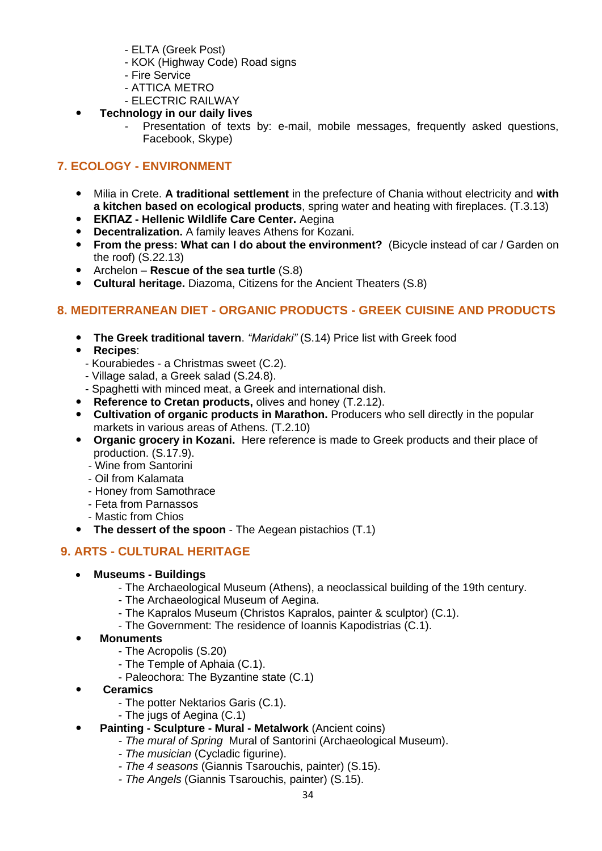- ELTA (Greek Post)
- KOK (Highway Code) Road signs
- Fire Service
- ATTICA METRO
- ELECTRIC RAILWAY
- **Technology in our daily lives**
	- Presentation of texts by: e-mail, mobile messages, frequently asked questions, Facebook, Skype)

#### **7. ECOLOGY - ENVIRONMENT**

- Milia in Crete. **A traditional settlement** in the prefecture of Chania without electricity and **with a kitchen based on ecological products**, spring water and heating with fireplaces. (T.3.13)
- **ΕΚΠΑΖ - Hellenic Wildlife Care Center.** Aegina
- **Decentralization.** A family leaves Athens for Kozani.
- **From the press: What can I do about the environment?** (Bicycle instead of car / Garden on the roof) (S.22.13)
- Archelon **Rescue of the sea turtle** (S.8)
- **Cultural heritage.** Diazoma, Citizens for the Ancient Theaters (S.8)

#### **8. MEDITERRANEAN DIET - ORGANIC PRODUCTS - GREEK CUISINE AND PRODUCTS**

- **The Greek traditional tavern**. *"Maridaki"* (S.14) Price list with Greek food
- **Recipes**:
	- Kourabiedes a Christmas sweet (C.2).
- Village salad, a Greek salad (S.24.8).
- Spaghetti with minced meat, a Greek and international dish.
- **•** Reference to Cretan products, olives and honey (T.2.12).
- **Cultivation of organic products in Marathon.** Producers who sell directly in the popular markets in various areas of Athens. (T.2.10)
- **Organic grocery in Kozani.** Here reference is made to Greek products and their place of production. (S.17.9).
	- *-* Wine from Santorini
	- Oil from Kalamata
	- Honey from Samothrace
	- Feta from Parnassos
	- Mastic from Chios
- **The dessert of the spoon** The Aegean pistachios (T.1)

#### **9. ARTS - CULTURAL HERITAGE**

- **Museums - Buildings**
	- The Archaeological Museum (Athens), a neoclassical building of the 19th century.
	- The Archaeological Museum of Aegina.
	- The Kapralos Museum (Christos Kapralos, painter & sculptor) (C.1).
	- The Government: The residence of Ioannis Kapodistrias (C.1).
- **Monuments** 
	- The Acropolis (S.20)
	- The Temple of Aphaia (C.1).
	- Paleochora: The Byzantine state (C.1)
- **Ceramics**
	- The potter Nektarios Garis (C.1).
	- The jugs of Aegina (C.1)
- **Painting - Sculpture - Mural - Metalwork** (Ancient coins)
	- *- The mural of Spring* Mural of Santorini (Archaeological Museum).
	- *- The musician* (Cycladic figurine).
	- *- The 4 seasons* (Giannis Tsarouchis, painter) (S.15).
	- *- The Angels* (Giannis Tsarouchis, painter) (S.15).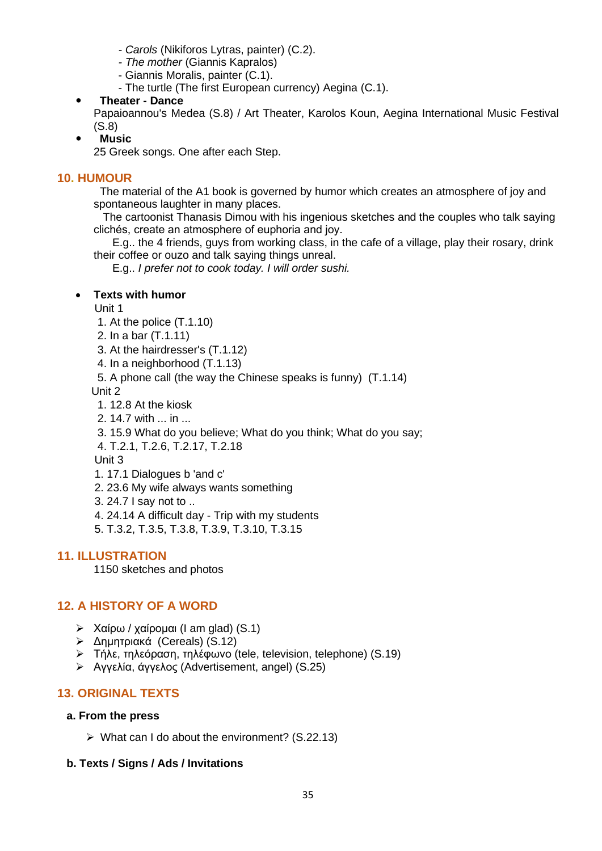- *- Carols* (Nikiforos Lytras, painter) (C.2).
- *- The mother* (Giannis Kapralos)
- Giannis Moralis, painter (C.1).
- The turtle (The first European currency) Aegina (C.1).
- **Theater - Dance**

Papaioannou's Medea (S.8) / Art Theater, Karolos Koun, Aegina International Music Festival (S.8)

**Music**

25 Greek songs. One after each Step.

#### **10. HUMOUR**

 The material of the A1 book is governed by humor which creates an atmosphere of joy and spontaneous laughter in many places.

 The cartoonist Thanasis Dimou with his ingenious sketches and the couples who talk saying clichés, create an atmosphere of euphoria and joy.

 E.g.. the 4 friends, guys from working class, in the cafe of a village, play their rosary, drink their coffee or ouzo and talk saying things unreal.

E.g.. *I prefer not to cook today. I will order sushi.*

#### • **Texts with humor**

Unit 1

- 1. At the police (T.1.10)
- 2. In a bar (T.1.11)
- 3. At the hairdresser's (T.1.12)
- 4. In a neighborhood (T.1.13)
- 5. A phone call (the way the Chinese speaks is funny) (T.1.14)

Unit 2

- 1. 12.8 At the kiosk
- 2. 14.7 with ... in ...
- 3. 15.9 What do you believe; What do you think; What do you say;

4. T.2.1, T.2.6, T.2.17, T.2.18

Unit 3

- 1. 17.1 Dialogues b 'and c'
- 2. 23.6 My wife always wants something
- 3. 24.7 I say not to ..
- 4. 24.14 A difficult day Trip with my students
- 5. T.3.2, T.3.5, T.3.8, T.3.9, T.3.10, T.3.15

#### **11. ILLUSTRATION**

1150 sketches and photos

#### **12. A HISTORY OF A WORD**

- $\triangleright$  Χαίρω / χαίρομαι (I am glad) (S.1)
- ➢ Δημητριακά (Cereals) (S.12)
- ➢ Τήλε, τηλεόραση, τηλέφωνο (tele, television, telephone) (S.19)
- ➢ Αγγελία, άγγελος (Advertisement, angel) (S.25)

#### **13. ORIGINAL TEXTS**

#### **a. From the press**

 $\triangleright$  What can I do about the environment? (S.22.13)

#### **b. Texts / Signs / Ads / Invitations**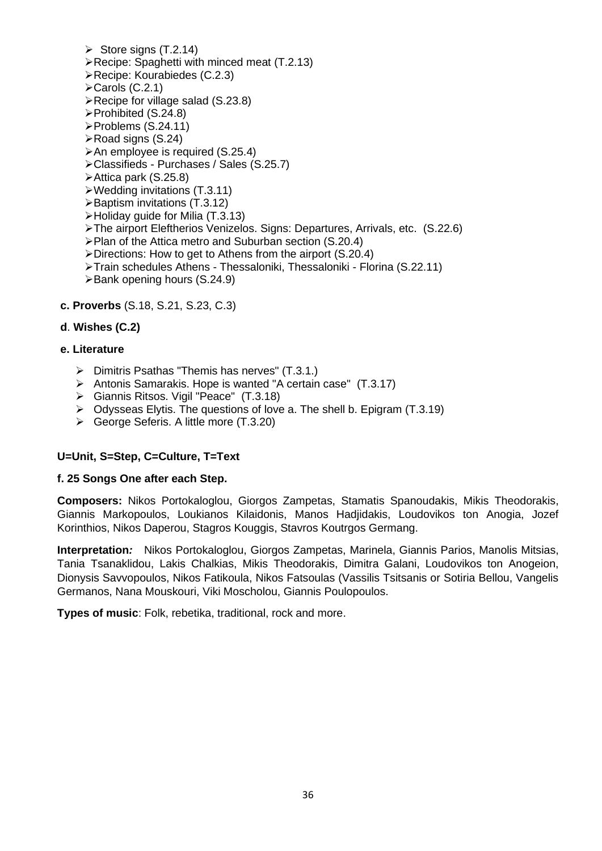- $\triangleright$  Store signs (T.2.14)
- ➢Recipe: Spaghetti with minced meat (T.2.13)
- ➢Recipe: Kourabiedes (C.2.3)
- ➢Carols (C.2.1)
- ➢Recipe for village salad (S.23.8)
- ➢Prohibited (S.24.8)
- ➢Problems (S.24.11)
- ➢Road signs (S.24)
- ➢An employee is required (S.25.4)
- ➢Classifieds Purchases / Sales (S.25.7)
- ➢Attica park (S.25.8)
- ➢Wedding invitations (T.3.11)
- ➢Baptism invitations (T.3.12)
- ➢Holiday guide for Milia (T.3.13)
- ➢The airport Eleftherios Venizelos. Signs: Departures, Arrivals, etc. (S.22.6)
- ➢Plan of the Attica metro and Suburban section (S.20.4)
- ➢Directions: How to get to Athens from the airport (S.20.4)
- ➢Train schedules Athens Thessaloniki, Thessaloniki Florina (S.22.11)
- ➢Bank opening hours (S.24.9)
- **c. Proverbs** (S.18, S.21, S.23, C.3)

#### **d**. **Wishes (C.2)**

#### **e. Literature**

- ➢ Dimitris Psathas "Themis has nerves" (T.3.1.)
- ➢ Antonis Samarakis. Hope is wanted "A certain case" (T.3.17)
- ➢ Giannis Ritsos. Vigil "Peace" (T.3.18)
- ➢ Odysseas Elytis. The questions of love a. The shell b. Epigram (T.3.19)
- ➢ George Seferis. A little more (T.3.20)

#### **U=Unit, S=Step, C=Culture, T=Text**

#### **f. 25 Songs One after each Step.**

**Composers:** Nikos Portokaloglou, Giorgos Zampetas, Stamatis Spanoudakis, Mikis Theodorakis, Giannis Markopoulos, Loukianos Kilaidonis, Manos Hadjidakis, Loudovikos ton Anogia, Jozef Korinthios, Nikos Daperou, Stagros Kouggis, Stavros Koutrgos Germang.

**Interpretation***:* Nikos Portokaloglou, Giorgos Zampetas, Marinela, Giannis Parios, Manolis Mitsias, Tania Tsanaklidou, Lakis Chalkias, Mikis Theodorakis, Dimitra Galani, Loudovikos ton Anogeion, Dionysis Savvopoulos, Nikos Fatikoula, Nikos Fatsoulas (Vassilis Tsitsanis or Sotiria Bellou, Vangelis Germanos, Nana Mouskouri, Viki Moscholou, Giannis Poulopoulos.

**Types of music**: Folk, rebetika, traditional, rock and more.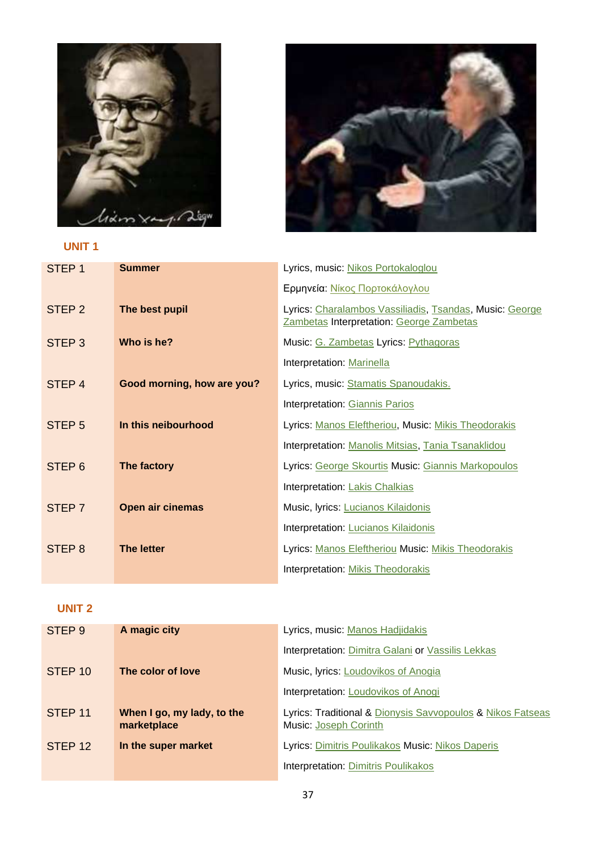

### **UNIT 1**



| STEP <sub>1</sub> | <b>Summer</b>              | Lyrics, music: Nikos Portokaloglou                                                                  |
|-------------------|----------------------------|-----------------------------------------------------------------------------------------------------|
|                   |                            | Ερμηνεία: Νίκος Πορτοκάλογλου                                                                       |
| STEP <sub>2</sub> | The best pupil             | Lyrics: Charalambos Vassiliadis, Tsandas, Music: George<br>Zambetas Interpretation: George Zambetas |
| STEP <sub>3</sub> | Who is he?                 | Music: G. Zambetas Lyrics: Pythagoras                                                               |
|                   |                            | Interpretation: Marinella                                                                           |
| STEP <sub>4</sub> | Good morning, how are you? | Lyrics, music: Stamatis Spanoudakis.                                                                |
|                   |                            | Interpretation: Giannis Parios                                                                      |
| STEP <sub>5</sub> | In this neibourhood        | Lyrics: Manos Eleftheriou, Music: Mikis Theodorakis                                                 |
|                   |                            | Interpretation: Manolis Mitsias, Tania Tsanaklidou                                                  |
| STEP <sub>6</sub> | The factory                | Lyrics: George Skourtis Music: Giannis Markopoulos                                                  |
|                   |                            | Interpretation: Lakis Chalkias                                                                      |
| STEP 7            | <b>Open air cinemas</b>    | Music, lyrics: Lucianos Kilaidonis                                                                  |
|                   |                            | Interpretation: Lucianos Kilaidonis                                                                 |
| STEP <sub>8</sub> | The letter                 | Lyrics: Manos Eleftheriou Music: Mikis Theodorakis                                                  |
|                   |                            | Interpretation: Mikis Theodorakis                                                                   |

### **UNIT 2**

| STEP 9             | A magic city                              | Lyrics, music: Manos Hadjidakis                                                     |
|--------------------|-------------------------------------------|-------------------------------------------------------------------------------------|
|                    |                                           | Interpretation: Dimitra Galani or Vassilis Lekkas                                   |
| STEP <sub>10</sub> | The color of love                         | Music, lyrics: Loudovikos of Anogia                                                 |
|                    |                                           | <b>Interpretation: Loudovikos of Anogi</b>                                          |
| STEP <sub>11</sub> | When I go, my lady, to the<br>marketplace | Lyrics: Traditional & Dionysis Savvopoulos & Nikos Fatseas<br>Music: Joseph Corinth |
| STEP <sub>12</sub> | In the super market                       | Lyrics: Dimitris Poulikakos Music: Nikos Daperis                                    |
|                    |                                           | <b>Interpretation: Dimitris Poulikakos</b>                                          |
|                    |                                           |                                                                                     |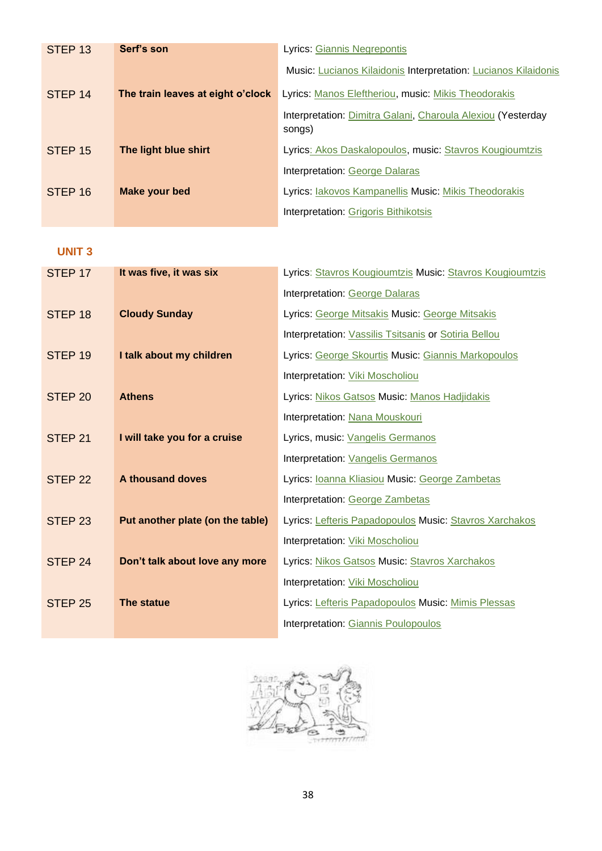| STEP <sub>13</sub> | Serf's son                        | Lyrics: Giannis Negrepontis                                           |
|--------------------|-----------------------------------|-----------------------------------------------------------------------|
|                    |                                   | Music: Lucianos Kilaidonis Interpretation: Lucianos Kilaidonis        |
| STEP <sub>14</sub> | The train leaves at eight o'clock | Lyrics: Manos Eleftheriou, music: Mikis Theodorakis                   |
|                    |                                   | Interpretation: Dimitra Galani, Charoula Alexiou (Yesterday<br>songs) |
| STEP <sub>15</sub> | The light blue shirt              | Lyrics: Akos Daskalopoulos, music: Stavros Kougioumtzis               |
|                    |                                   | Interpretation: George Dalaras                                        |
| STEP <sub>16</sub> | <b>Make your bed</b>              | Lyrics: lakovos Kampanellis Music: Mikis Theodorakis                  |
|                    |                                   | <b>Interpretation: Grigoris Bithikotsis</b>                           |

#### **UNIT 3**

| STEP 17            | It was five, it was six          | Lyrics: Stavros Kougioumtzis Music: Stavros Kougioumtzis |
|--------------------|----------------------------------|----------------------------------------------------------|
|                    |                                  | Interpretation: George Dalaras                           |
| STEP <sub>18</sub> | <b>Cloudy Sunday</b>             | Lyrics: George Mitsakis Music: George Mitsakis           |
|                    |                                  | Interpretation: Vassilis Tsitsanis or Sotiria Bellou     |
| STEP <sub>19</sub> | I talk about my children         | Lyrics: George Skourtis Music: Giannis Markopoulos       |
|                    |                                  | Interpretation: Viki Moscholiou                          |
| STEP <sub>20</sub> | <b>Athens</b>                    | Lyrics: Nikos Gatsos Music: Manos Hadjidakis             |
|                    |                                  | Interpretation: Nana Mouskouri                           |
| STEP <sub>21</sub> | I will take you for a cruise     | Lyrics, music: Vangelis Germanos                         |
|                    |                                  | Interpretation: Vangelis Germanos                        |
| STEP <sub>22</sub> | A thousand doves                 | Lyrics: loanna Kliasiou Music: George Zambetas           |
|                    |                                  | Interpretation: George Zambetas                          |
| STEP <sub>23</sub> | Put another plate (on the table) | Lyrics: Lefteris Papadopoulos Music: Stavros Xarchakos   |
|                    |                                  | Interpretation: Viki Moscholiou                          |
| STEP <sub>24</sub> | Don't talk about love any more   | Lyrics: Nikos Gatsos Music: Stavros Xarchakos            |
|                    |                                  | Interpretation: Viki Moscholiou                          |
| STEP <sub>25</sub> | The statue                       | Lyrics: Lefteris Papadopoulos Music: Mimis Plessas       |
|                    |                                  | Interpretation: Giannis Poulopoulos                      |